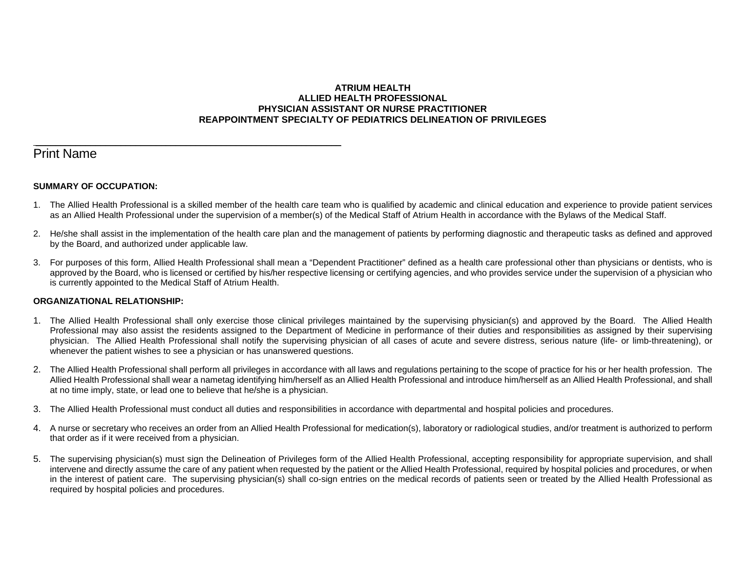## **ATRIUM HEALTH ALLIED HEALTH PROFESSIONAL PHYSICIAN ASSISTANT OR NURSE PRACTITIONER REAPPOINTMENT SPECIALTY OF PEDIATRICS DELINEATION OF PRIVILEGES**

# Print Name

## **SUMMARY OF OCCUPATION:**

\_\_\_\_\_\_\_\_\_\_\_\_\_\_\_\_\_\_\_\_\_\_\_\_\_\_\_\_\_\_\_\_\_\_\_\_\_\_\_\_\_\_\_\_\_\_\_\_\_\_\_\_\_\_\_\_\_\_\_\_\_

- 1. The Allied Health Professional is a skilled member of the health care team who is qualified by academic and clinical education and experience to provide patient services as an Allied Health Professional under the supervision of a member(s) of the Medical Staff of Atrium Health in accordance with the Bylaws of the Medical Staff.
- 2. He/she shall assist in the implementation of the health care plan and the management of patients by performing diagnostic and therapeutic tasks as defined and approved by the Board, and authorized under applicable law.
- 3. For purposes of this form, Allied Health Professional shall mean a "Dependent Practitioner" defined as a health care professional other than physicians or dentists, who is approved by the Board, who is licensed or certified by his/her respective licensing or certifying agencies, and who provides service under the supervision of a physician who is currently appointed to the Medical Staff of Atrium Health.

## **ORGANIZATIONAL RELATIONSHIP:**

- 1. The Allied Health Professional shall only exercise those clinical privileges maintained by the supervising physician(s) and approved by the Board. The Allied Health Professional may also assist the residents assigned to the Department of Medicine in performance of their duties and responsibilities as assigned by their supervising physician. The Allied Health Professional shall notify the supervising physician of all cases of acute and severe distress, serious nature (life- or limb-threatening), or whenever the patient wishes to see a physician or has unanswered questions.
- 2. The Allied Health Professional shall perform all privileges in accordance with all laws and regulations pertaining to the scope of practice for his or her health profession. The Allied Health Professional shall wear a nametag identifying him/herself as an Allied Health Professional and introduce him/herself as an Allied Health Professional, and shall at no time imply, state, or lead one to believe that he/she is a physician.
- 3. The Allied Health Professional must conduct all duties and responsibilities in accordance with departmental and hospital policies and procedures.
- 4. A nurse or secretary who receives an order from an Allied Health Professional for medication(s), laboratory or radiological studies, and/or treatment is authorized to perform that order as if it were received from a physician.
- 5. The supervising physician(s) must sign the Delineation of Privileges form of the Allied Health Professional, accepting responsibility for appropriate supervision, and shall intervene and directly assume the care of any patient when requested by the patient or the Allied Health Professional, required by hospital policies and procedures, or when in the interest of patient care. The supervising physician(s) shall co-sign entries on the medical records of patients seen or treated by the Allied Health Professional as required by hospital policies and procedures.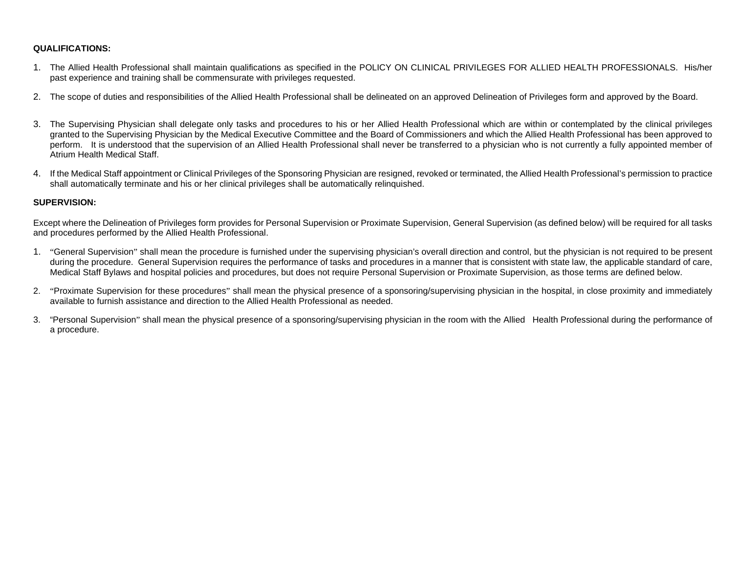# **QUALIFICATIONS:**

- 1. The Allied Health Professional shall maintain qualifications as specified in the POLICY ON CLINICAL PRIVILEGES FOR ALLIED HEALTH PROFESSIONALS. His/her past experience and training shall be commensurate with privileges requested.
- 2. The scope of duties and responsibilities of the Allied Health Professional shall be delineated on an approved Delineation of Privileges form and approved by the Board.
- 3. The Supervising Physician shall delegate only tasks and procedures to his or her Allied Health Professional which are within or contemplated by the clinical privileges granted to the Supervising Physician by the Medical Executive Committee and the Board of Commissioners and which the Allied Health Professional has been approved to perform. It is understood that the supervision of an Allied Health Professional shall never be transferred to a physician who is not currently a fully appointed member of Atrium Health Medical Staff.
- 4. If the Medical Staff appointment or Clinical Privileges of the Sponsoring Physician are resigned, revoked or terminated, the Allied Health Professional's permission to practice shall automatically terminate and his or her clinical privileges shall be automatically relinquished.

#### **SUPERVISION:**

Except where the Delineation of Privileges form provides for Personal Supervision or Proximate Supervision, General Supervision (as defined below) will be required for all tasks and procedures performed by the Allied Health Professional.

- 1. "General Supervision" shall mean the procedure is furnished under the supervising physician's overall direction and control, but the physician is not required to be present during the procedure. General Supervision requires the performance of tasks and procedures in a manner that is consistent with state law, the applicable standard of care, Medical Staff Bylaws and hospital policies and procedures, but does not require Personal Supervision or Proximate Supervision, as those terms are defined below.
- 2. "Proximate Supervision for these procedures" shall mean the physical presence of a sponsoring/supervising physician in the hospital, in close proximity and immediately available to furnish assistance and direction to the Allied Health Professional as needed.
- 3. "Personal Supervision" shall mean the physical presence of a sponsoring/supervising physician in the room with the Allied Health Professional during the performance of a procedure.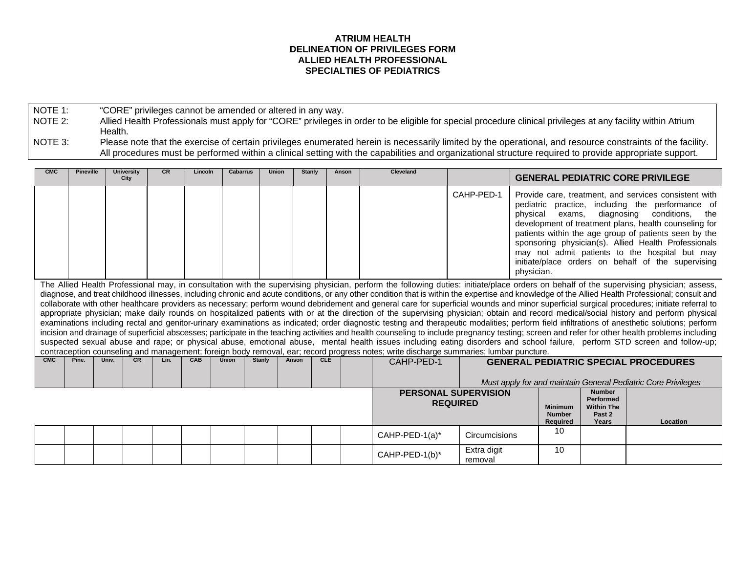## **ATRIUM HEALTH DELINEATION OF PRIVILEGES FORM ALLIED HEALTH PROFESSIONAL SPECIALTIES OF PEDIATRICS**

NOTE 1: "CORE" privileges cannot be amended or altered in any way.<br>NOTE 2: Allied Health Professionals must apply for "CORE" privileges in

Allied Health Professionals must apply for "CORE" privileges in order to be eligible for special procedure clinical privileges at any facility within Atrium Health.

NOTE 3: Please note that the exercise of certain privileges enumerated herein is necessarily limited by the operational, and resource constraints of the facility. All procedures must be performed within a clinical setting with the capabilities and organizational structure required to provide appropriate support.

| <b>CMC</b> | <b>Pineville</b> | <b>University</b><br>City | <b>CR</b> | Lincoln | <b>Cabarrus</b> | <b>Union</b>  |       | Stanly     | Anson | Cleveland                                                                                                                              |                                                |                        |                                             |                                                                           | <b>GENERAL PEDIATRIC CORE PRIVILEGE</b>                                                                                                                                                                                                                                                                                                                                                                        |
|------------|------------------|---------------------------|-----------|---------|-----------------|---------------|-------|------------|-------|----------------------------------------------------------------------------------------------------------------------------------------|------------------------------------------------|------------------------|---------------------------------------------|---------------------------------------------------------------------------|----------------------------------------------------------------------------------------------------------------------------------------------------------------------------------------------------------------------------------------------------------------------------------------------------------------------------------------------------------------------------------------------------------------|
|            |                  |                           |           |         |                 |               |       |            |       |                                                                                                                                        | CAHP-PED-1                                     | physical<br>physician. | exams,                                      | diagnosing                                                                | Provide care, treatment, and services consistent with<br>pediatric practice, including the performance of<br>conditions, the<br>development of treatment plans, health counseling for<br>patients within the age group of patients seen by the<br>sponsoring physician(s). Allied Health Professionals<br>may not admit patients to the hospital but may<br>initiate/place orders on behalf of the supervising |
|            |                  |                           |           |         |                 |               |       |            |       |                                                                                                                                        |                                                |                        |                                             |                                                                           | The Allied Health Professional may, in consultation with the supervising physician, perform the following duties: initiate/place orders on behalf of the supervising physician; assess,<br>diagnose, and treat childhood illnesses, including chronic and acute conditions, or any other condition that is within the expertise and knowledge of the Allied Health Professional; consult and                   |
|            |                  |                           |           |         |                 |               |       |            |       |                                                                                                                                        |                                                |                        |                                             |                                                                           | collaborate with other healthcare providers as necessary; perform wound debridement and general care for superficial wounds and minor superficial surgical procedures; initiate referral to                                                                                                                                                                                                                    |
|            |                  |                           |           |         |                 |               |       |            |       |                                                                                                                                        |                                                |                        |                                             |                                                                           | appropriate physician; make daily rounds on hospitalized patients with or at the direction of the supervising physician; obtain and record medical/social history and perform physical                                                                                                                                                                                                                         |
|            |                  |                           |           |         |                 |               |       |            |       |                                                                                                                                        |                                                |                        |                                             |                                                                           | examinations including rectal and genitor-urinary examinations as indicated; order diagnostic testing and therapeutic modalities; perform field infiltrations of anesthetic solutions; perform                                                                                                                                                                                                                 |
|            |                  |                           |           |         |                 |               |       |            |       |                                                                                                                                        |                                                |                        |                                             |                                                                           | incision and drainage of superficial abscesses; participate in the teaching activities and health counseling to include pregnancy testing; screen and refer for other health problems including<br>suspected sexual abuse and rape; or physical abuse, emotional abuse, mental health issues including eating disorders and school failure, perform STD screen and follow-up;                                  |
|            |                  |                           |           |         |                 |               |       |            |       | contraception counseling and management; foreign body removal, ear; record progress notes; write discharge summaries; lumbar puncture. |                                                |                        |                                             |                                                                           |                                                                                                                                                                                                                                                                                                                                                                                                                |
| CMC        | Pine.            | Univ.<br><b>CR</b>        | Lin.      | CAB     | <b>Union</b>    | <b>Stanly</b> | Anson | <b>CLE</b> |       | CAHP-PED-1                                                                                                                             |                                                |                        |                                             |                                                                           | <b>GENERAL PEDIATRIC SPECIAL PROCEDURES</b>                                                                                                                                                                                                                                                                                                                                                                    |
|            |                  |                           |           |         |                 |               |       |            |       |                                                                                                                                        |                                                |                        |                                             |                                                                           |                                                                                                                                                                                                                                                                                                                                                                                                                |
|            |                  |                           |           |         |                 |               |       |            |       |                                                                                                                                        |                                                |                        |                                             |                                                                           | Must apply for and maintain General Pediatric Core Privileges                                                                                                                                                                                                                                                                                                                                                  |
|            |                  |                           |           |         |                 |               |       |            |       |                                                                                                                                        | <b>PERSONAL SUPERVISION</b><br><b>REQUIRED</b> |                        | <b>Minimum</b><br><b>Number</b><br>Required | <b>Number</b><br><b>Performed</b><br><b>Within The</b><br>Past 2<br>Years | Location                                                                                                                                                                                                                                                                                                                                                                                                       |
|            |                  |                           |           |         |                 |               |       |            |       | CAHP-PED-1(a)*                                                                                                                         | <b>Circumcisions</b>                           |                        | 10                                          |                                                                           |                                                                                                                                                                                                                                                                                                                                                                                                                |
|            |                  |                           |           |         |                 |               |       |            |       | CAHP-PED-1(b)*                                                                                                                         | Extra digit<br>removal                         |                        | 10                                          |                                                                           |                                                                                                                                                                                                                                                                                                                                                                                                                |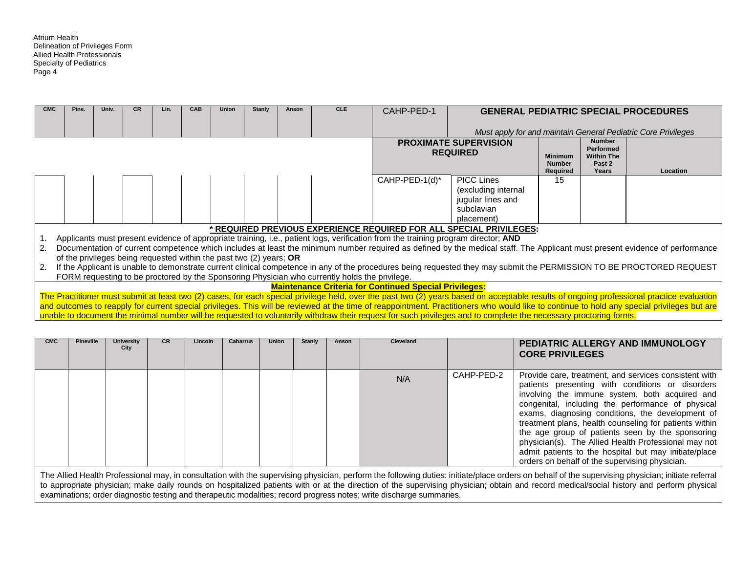| <b>CMC</b> | Pine. | Univ. | <b>CR</b> | Lin. | CAB | <b>Union</b> | Stanly                                                              | Anson | <b>CLE</b>                                                                                     | CAHP-PED-1                                                                                                                         |                                                                                                                                                                       |                |                            | <b>GENERAL PEDIATRIC SPECIAL PROCEDURES</b>                                                                                                                                                 |
|------------|-------|-------|-----------|------|-----|--------------|---------------------------------------------------------------------|-------|------------------------------------------------------------------------------------------------|------------------------------------------------------------------------------------------------------------------------------------|-----------------------------------------------------------------------------------------------------------------------------------------------------------------------|----------------|----------------------------|---------------------------------------------------------------------------------------------------------------------------------------------------------------------------------------------|
|            |       |       |           |      |     |              |                                                                     |       |                                                                                                |                                                                                                                                    |                                                                                                                                                                       |                |                            |                                                                                                                                                                                             |
|            |       |       |           |      |     |              |                                                                     |       |                                                                                                |                                                                                                                                    |                                                                                                                                                                       |                |                            | Must apply for and maintain General Pediatric Core Privileges                                                                                                                               |
|            |       |       |           |      |     |              |                                                                     |       |                                                                                                |                                                                                                                                    | <b>PROXIMATE SUPERVISION</b>                                                                                                                                          |                | <b>Number</b><br>Performed |                                                                                                                                                                                             |
|            |       |       |           |      |     |              |                                                                     |       |                                                                                                |                                                                                                                                    | <b>REQUIRED</b>                                                                                                                                                       | <b>Minimum</b> | <b>Within The</b>          |                                                                                                                                                                                             |
|            |       |       |           |      |     |              |                                                                     |       |                                                                                                |                                                                                                                                    |                                                                                                                                                                       | <b>Number</b>  | Past 2                     |                                                                                                                                                                                             |
|            |       |       |           |      |     |              |                                                                     |       |                                                                                                |                                                                                                                                    |                                                                                                                                                                       | Required       | Years                      | Location                                                                                                                                                                                    |
|            |       |       |           |      |     |              |                                                                     |       |                                                                                                | CAHP-PED-1(d)*                                                                                                                     | PICC Lines                                                                                                                                                            | 15             |                            |                                                                                                                                                                                             |
|            |       |       |           |      |     |              |                                                                     |       |                                                                                                |                                                                                                                                    | (excluding internal                                                                                                                                                   |                |                            |                                                                                                                                                                                             |
|            |       |       |           |      |     |              |                                                                     |       |                                                                                                |                                                                                                                                    | jugular lines and                                                                                                                                                     |                |                            |                                                                                                                                                                                             |
|            |       |       |           |      |     |              |                                                                     |       |                                                                                                |                                                                                                                                    | subclavian                                                                                                                                                            |                |                            |                                                                                                                                                                                             |
|            |       |       |           |      |     |              |                                                                     |       |                                                                                                |                                                                                                                                    | placement)                                                                                                                                                            |                |                            |                                                                                                                                                                                             |
|            |       |       |           |      |     |              |                                                                     |       |                                                                                                |                                                                                                                                    | * REQUIRED PREVIOUS EXPERIENCE REQUIRED FOR ALL SPECIAL PRIVILEGES:                                                                                                   |                |                            |                                                                                                                                                                                             |
|            |       |       |           |      |     |              |                                                                     |       |                                                                                                | Applicants must present evidence of appropriate training, i.e., patient logs, verification from the training program director; AND |                                                                                                                                                                       |                |                            |                                                                                                                                                                                             |
| 2.         |       |       |           |      |     |              |                                                                     |       |                                                                                                |                                                                                                                                    |                                                                                                                                                                       |                |                            | Documentation of current competence which includes at least the minimum number required as defined by the medical staff. The Applicant must present evidence of performance                 |
|            |       |       |           |      |     |              | of the privileges being requested within the past two (2) years; OR |       |                                                                                                |                                                                                                                                    |                                                                                                                                                                       |                |                            |                                                                                                                                                                                             |
| 2.         |       |       |           |      |     |              |                                                                     |       |                                                                                                |                                                                                                                                    | If the Applicant is unable to demonstrate current clinical competence in any of the procedures being requested they may submit the PERMISSION TO BE PROCTORED REQUEST |                |                            |                                                                                                                                                                                             |
|            |       |       |           |      |     |              |                                                                     |       | FORM requesting to be proctored by the Sponsoring Physician who currently holds the privilege. |                                                                                                                                    |                                                                                                                                                                       |                |                            |                                                                                                                                                                                             |
|            |       |       |           |      |     |              |                                                                     |       |                                                                                                | <b>Maintenance Criteria for Continued Special Privileges:</b>                                                                      |                                                                                                                                                                       |                |                            |                                                                                                                                                                                             |
|            |       |       |           |      |     |              |                                                                     |       |                                                                                                |                                                                                                                                    |                                                                                                                                                                       |                |                            | The Practitioner must submit at least two (2) cases, for each special privilege held, over the past two (2) years based on acceptable results of ongoing professional practice evaluation   |
|            |       |       |           |      |     |              |                                                                     |       |                                                                                                |                                                                                                                                    |                                                                                                                                                                       |                |                            | and outcomes to reapply for current special privileges. This will be reviewed at the time of reappointment. Practitioners who would like to continue to hold any special privileges but are |
|            |       |       |           |      |     |              |                                                                     |       |                                                                                                |                                                                                                                                    | unable to document the minimal number will be requested to voluntarily withdraw their request for such privileges and to complete the necessary proctoring forms.     |                |                            |                                                                                                                                                                                             |
|            |       |       |           |      |     |              |                                                                     |       |                                                                                                |                                                                                                                                    |                                                                                                                                                                       |                |                            |                                                                                                                                                                                             |
|            |       |       |           |      |     |              |                                                                     |       |                                                                                                |                                                                                                                                    |                                                                                                                                                                       |                |                            |                                                                                                                                                                                             |

| <b>CMC</b> | <b>Pineville</b> | <b>University</b><br>City | CR. | Lincoln | Cabarrus | <b>Union</b> | Stanly | Anson | <b>Cleveland</b> |            | PEDIATRIC ALLERGY AND IMMUNOLOGY<br><b>CORE PRIVILEGES</b>                                                                                                                                                                                                                                                                                                                                                                                                                                                                                            |
|------------|------------------|---------------------------|-----|---------|----------|--------------|--------|-------|------------------|------------|-------------------------------------------------------------------------------------------------------------------------------------------------------------------------------------------------------------------------------------------------------------------------------------------------------------------------------------------------------------------------------------------------------------------------------------------------------------------------------------------------------------------------------------------------------|
|            |                  |                           |     |         |          |              |        |       | N/A              | CAHP-PED-2 | Provide care, treatment, and services consistent with<br>patients presenting with conditions or disorders<br>involving the immune system, both acquired and<br>congenital, including the performance of physical<br>exams, diagnosing conditions, the development of<br>treatment plans, health counseling for patients within<br>the age group of patients seen by the sponsoring<br>physician(s). The Allied Health Professional may not<br>admit patients to the hospital but may initiate/place<br>orders on behalf of the supervising physician. |

The Allied Health Professional may, in consultation with the supervising physician, perform the following duties: initiate/place orders on behalf of the supervising physician; initiate referral to appropriate physician; make daily rounds on hospitalized patients with or at the direction of the supervising physician; obtain and record medical/social history and perform physical examinations; order diagnostic testing and therapeutic modalities; record progress notes; write discharge summaries.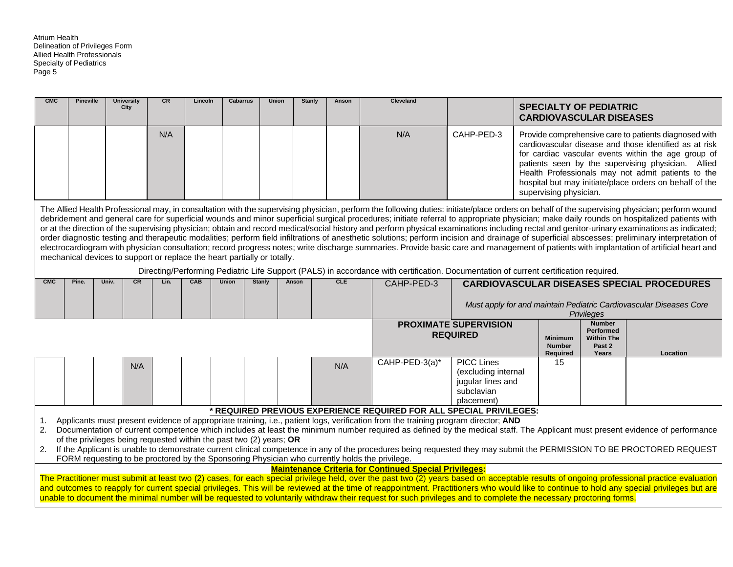| <b>CMC</b>     | <b>Pineville</b> | <b>University</b>                                                        | CR   | Lincoln | <b>Cabarrus</b> | <b>Union</b> | <b>Stanly</b> | Anson      | <b>Cleveland</b>                                                                                                                                                  |                                                                                           |                                                                 |                                                                           |                                                                                                                                                                                                                                                                                                                                                                                                                                                                                                                                                                                                                                                                                                                                                                                                                                                                                                                                                                                            |
|----------------|------------------|--------------------------------------------------------------------------|------|---------|-----------------|--------------|---------------|------------|-------------------------------------------------------------------------------------------------------------------------------------------------------------------|-------------------------------------------------------------------------------------------|-----------------------------------------------------------------|---------------------------------------------------------------------------|--------------------------------------------------------------------------------------------------------------------------------------------------------------------------------------------------------------------------------------------------------------------------------------------------------------------------------------------------------------------------------------------------------------------------------------------------------------------------------------------------------------------------------------------------------------------------------------------------------------------------------------------------------------------------------------------------------------------------------------------------------------------------------------------------------------------------------------------------------------------------------------------------------------------------------------------------------------------------------------------|
|                |                  | City                                                                     |      |         |                 |              |               |            |                                                                                                                                                                   |                                                                                           | <b>SPECIALTY OF PEDIATRIC</b><br><b>CARDIOVASCULAR DISEASES</b> |                                                                           |                                                                                                                                                                                                                                                                                                                                                                                                                                                                                                                                                                                                                                                                                                                                                                                                                                                                                                                                                                                            |
|                |                  |                                                                          | N/A  |         |                 |              |               |            | N/A                                                                                                                                                               | CAHP-PED-3                                                                                | supervising physician.                                          |                                                                           | Provide comprehensive care to patients diagnosed with<br>cardiovascular disease and those identified as at risk<br>for cardiac vascular events within the age group of<br>patients seen by the supervising physician. Allied<br>Health Professionals may not admit patients to the<br>hospital but may initiate/place orders on behalf of the                                                                                                                                                                                                                                                                                                                                                                                                                                                                                                                                                                                                                                              |
|                |                  | mechanical devices to support or replace the heart partially or totally. |      |         |                 |              |               |            | Directing/Performing Pediatric Life Support (PALS) in accordance with certification. Documentation of current certification required.                             |                                                                                           |                                                                 |                                                                           | The Allied Health Professional may, in consultation with the supervising physician, perform the following duties: initiate/place orders on behalf of the supervising physician; perform wound<br>debridement and general care for superficial wounds and minor superficial surgical procedures; initiate referral to appropriate physician; make daily rounds on hospitalized patients with<br>or at the direction of the supervising physician; obtain and record medical/social history and perform physical examinations including rectal and genitor-urinary examinations as indicated;<br>order diagnostic testing and therapeutic modalities; perform field infiltrations of anesthetic solutions; perform incision and drainage of superficial abscesses; preliminary interpretation of<br>electrocardiogram with physician consultation; record progress notes; write discharge summaries. Provide basic care and management of patients with implantation of artificial heart and |
| <b>CMC</b>     | Pine.            | CR<br>Univ.                                                              | Lin. | CAB     | <b>Union</b>    | Stanly       | Anson         | <b>CLE</b> | CAHP-PED-3                                                                                                                                                        |                                                                                           |                                                                 |                                                                           | <b>CARDIOVASCULAR DISEASES SPECIAL PROCEDURES</b>                                                                                                                                                                                                                                                                                                                                                                                                                                                                                                                                                                                                                                                                                                                                                                                                                                                                                                                                          |
|                |                  |                                                                          |      |         |                 |              |               |            |                                                                                                                                                                   |                                                                                           |                                                                 | <b>Privileges</b>                                                         | Must apply for and maintain Pediatric Cardiovascular Diseases Core                                                                                                                                                                                                                                                                                                                                                                                                                                                                                                                                                                                                                                                                                                                                                                                                                                                                                                                         |
|                |                  |                                                                          |      |         |                 |              |               |            |                                                                                                                                                                   | <b>PROXIMATE SUPERVISION</b><br><b>REQUIRED</b>                                           | <b>Minimum</b><br><b>Number</b><br>Required                     | <b>Number</b><br><b>Performed</b><br><b>Within The</b><br>Past 2<br>Years | Location                                                                                                                                                                                                                                                                                                                                                                                                                                                                                                                                                                                                                                                                                                                                                                                                                                                                                                                                                                                   |
|                |                  | N/A                                                                      |      |         |                 |              |               | N/A        | CAHP-PED-3(a)*                                                                                                                                                    | <b>PICC Lines</b><br>(excluding internal<br>jugular lines and<br>subclavian<br>placement) | 15                                                              |                                                                           |                                                                                                                                                                                                                                                                                                                                                                                                                                                                                                                                                                                                                                                                                                                                                                                                                                                                                                                                                                                            |
|                |                  |                                                                          |      |         |                 |              |               |            | * REQUIRED PREVIOUS EXPERIENCE REQUIRED FOR ALL SPECIAL PRIVILEGES:                                                                                               |                                                                                           |                                                                 |                                                                           |                                                                                                                                                                                                                                                                                                                                                                                                                                                                                                                                                                                                                                                                                                                                                                                                                                                                                                                                                                                            |
| 1.<br>2.<br>2. |                  | of the privileges being requested within the past two (2) years; OR      |      |         |                 |              |               |            | Applicants must present evidence of appropriate training, i.e., patient logs, verification from the training program director; AND                                |                                                                                           |                                                                 |                                                                           | Documentation of current competence which includes at least the minimum number required as defined by the medical staff. The Applicant must present evidence of performance<br>If the Applicant is unable to demonstrate current clinical competence in any of the procedures being requested they may submit the PERMISSION TO BE PROCTORED REQUEST                                                                                                                                                                                                                                                                                                                                                                                                                                                                                                                                                                                                                                       |
|                |                  |                                                                          |      |         |                 |              |               |            | FORM requesting to be proctored by the Sponsoring Physician who currently holds the privilege.                                                                    |                                                                                           |                                                                 |                                                                           |                                                                                                                                                                                                                                                                                                                                                                                                                                                                                                                                                                                                                                                                                                                                                                                                                                                                                                                                                                                            |
|                |                  |                                                                          |      |         |                 |              |               |            | <b>Maintenance Criteria for Continued Special Privileges:</b>                                                                                                     |                                                                                           |                                                                 |                                                                           | The Practitioner must submit at least two (2) cases, for each special privilege held, over the past two (2) years based on acceptable results of ongoing professional practice evaluation                                                                                                                                                                                                                                                                                                                                                                                                                                                                                                                                                                                                                                                                                                                                                                                                  |
|                |                  |                                                                          |      |         |                 |              |               |            | unable to document the minimal number will be requested to voluntarily withdraw their request for such privileges and to complete the necessary proctoring forms. |                                                                                           |                                                                 |                                                                           | and outcomes to reapply for current special privileges. This will be reviewed at the time of reappointment. Practitioners who would like to continue to hold any special privileges but are                                                                                                                                                                                                                                                                                                                                                                                                                                                                                                                                                                                                                                                                                                                                                                                                |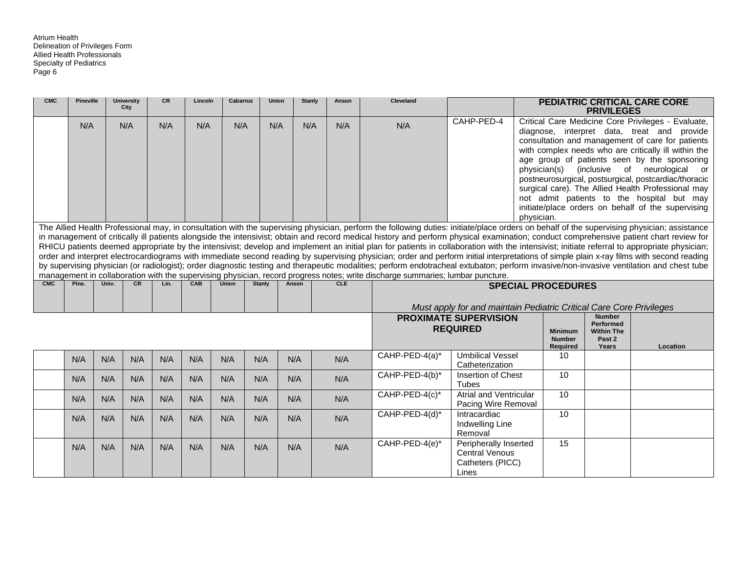| <b>CMC</b> | <b>Pineville</b> |       | <b>University</b><br>City | <b>CR</b> | Lincoln | <b>Cabarrus</b> | <b>Union</b>  | <b>Stanly</b> | Anson      | <b>Cleveland</b>                                                                                                                                                                            |                                                                     |                           | <b>PRIVILEGES</b>                 | <b>PEDIATRIC CRITICAL CARE CORE</b>                                                                      |
|------------|------------------|-------|---------------------------|-----------|---------|-----------------|---------------|---------------|------------|---------------------------------------------------------------------------------------------------------------------------------------------------------------------------------------------|---------------------------------------------------------------------|---------------------------|-----------------------------------|----------------------------------------------------------------------------------------------------------|
|            | N/A              |       | N/A                       | N/A       | N/A     | N/A             | N/A           | N/A           | N/A        | N/A                                                                                                                                                                                         | CAHP-PED-4                                                          |                           |                                   | Critical Care Medicine Core Privileges - Evaluate,                                                       |
|            |                  |       |                           |           |         |                 |               |               |            |                                                                                                                                                                                             |                                                                     |                           |                                   | diagnose, interpret data, treat and provide                                                              |
|            |                  |       |                           |           |         |                 |               |               |            |                                                                                                                                                                                             |                                                                     |                           |                                   | consultation and management of care for patients<br>with complex needs who are critically ill within the |
|            |                  |       |                           |           |         |                 |               |               |            |                                                                                                                                                                                             |                                                                     |                           |                                   | age group of patients seen by the sponsoring                                                             |
|            |                  |       |                           |           |         |                 |               |               |            |                                                                                                                                                                                             |                                                                     | physician(s)              |                                   | (inclusive of neurological<br>or                                                                         |
|            |                  |       |                           |           |         |                 |               |               |            |                                                                                                                                                                                             |                                                                     |                           |                                   | postneurosurgical, postsurgical, postcardiac/thoracic                                                    |
|            |                  |       |                           |           |         |                 |               |               |            |                                                                                                                                                                                             |                                                                     |                           |                                   | surgical care). The Allied Health Professional may                                                       |
|            |                  |       |                           |           |         |                 |               |               |            |                                                                                                                                                                                             |                                                                     |                           |                                   | not admit patients to the hospital but may                                                               |
|            |                  |       |                           |           |         |                 |               |               |            |                                                                                                                                                                                             |                                                                     |                           |                                   | initiate/place orders on behalf of the supervising                                                       |
|            |                  |       |                           |           |         |                 |               |               |            | The Allied Health Professional may, in consultation with the supervising physician, perform the following duties: initiate/place orders on behalf of the supervising physician; assistance  |                                                                     | physician.                |                                   |                                                                                                          |
|            |                  |       |                           |           |         |                 |               |               |            | in management of critically ill patients alongside the intensivist; obtain and record medical history and perform physical examination; conduct comprehensive patient chart review for      |                                                                     |                           |                                   |                                                                                                          |
|            |                  |       |                           |           |         |                 |               |               |            | RHICU patients deemed appropriate by the intensivist; develop and implement an initial plan for patients in collaboration with the intensivist; initiate referral to appropriate physician; |                                                                     |                           |                                   |                                                                                                          |
|            |                  |       |                           |           |         |                 |               |               |            | order and interpret electrocardiograms with immediate second reading by supervising physician; order and perform initial interpretations of simple plain x-ray films with second reading    |                                                                     |                           |                                   |                                                                                                          |
|            |                  |       |                           |           |         |                 |               |               |            | by supervising physician (or radiologist); order diagnostic testing and therapeutic modalities; perform endotracheal extubaton; perform invasive/non-invasive ventilation and chest tube    |                                                                     |                           |                                   |                                                                                                          |
| CMC        | Pine.            | Univ. | <b>CR</b>                 | Lin.      | CAB     | <b>Union</b>    |               | Anson         | <b>CLE</b> | management in collaboration with the supervising physician, record progress notes; write discharge summaries; lumbar puncture.                                                              |                                                                     |                           |                                   |                                                                                                          |
|            |                  |       |                           |           |         |                 | <b>Stanly</b> |               |            |                                                                                                                                                                                             |                                                                     | <b>SPECIAL PROCEDURES</b> |                                   |                                                                                                          |
|            |                  |       |                           |           |         |                 |               |               |            |                                                                                                                                                                                             | Must apply for and maintain Pediatric Critical Care Core Privileges |                           |                                   |                                                                                                          |
|            |                  |       |                           |           |         |                 |               |               |            |                                                                                                                                                                                             | <b>PROXIMATE SUPERVISION</b>                                        |                           | <b>Number</b><br><b>Performed</b> |                                                                                                          |
|            |                  |       |                           |           |         |                 |               |               |            |                                                                                                                                                                                             | <b>REQUIRED</b>                                                     | <b>Minimum</b>            | <b>Within The</b>                 |                                                                                                          |
|            |                  |       |                           |           |         |                 |               |               |            |                                                                                                                                                                                             |                                                                     | <b>Number</b>             | Past 2                            |                                                                                                          |
|            |                  |       |                           |           |         |                 |               |               |            | CAHP-PED-4(a)*                                                                                                                                                                              | <b>Umbilical Vessel</b>                                             | Required<br>10            | Years                             | Location                                                                                                 |
|            | N/A              | N/A   | N/A                       | N/A       | N/A     | N/A             | N/A           | N/A           | N/A        |                                                                                                                                                                                             | Catheterization                                                     |                           |                                   |                                                                                                          |
|            | N/A              | N/A   | N/A                       | N/A       | N/A     | N/A             | N/A           | N/A           | N/A        | CAHP-PED-4(b)*                                                                                                                                                                              | Insertion of Chest                                                  | 10                        |                                   |                                                                                                          |
|            |                  |       |                           |           |         |                 |               |               |            |                                                                                                                                                                                             | <b>Tubes</b>                                                        |                           |                                   |                                                                                                          |
|            | N/A              | N/A   | N/A                       | N/A       | N/A     | N/A             | N/A           | N/A           | N/A        | CAHP-PED-4(c)*                                                                                                                                                                              | <b>Atrial and Ventricular</b>                                       | 10                        |                                   |                                                                                                          |
|            |                  |       |                           |           |         |                 |               |               |            |                                                                                                                                                                                             | Pacing Wire Removal                                                 |                           |                                   |                                                                                                          |
|            | N/A              | N/A   | N/A                       | N/A       | N/A     | N/A             | N/A           | N/A           | N/A        | CAHP-PED-4(d)*                                                                                                                                                                              | Intracardiac                                                        | 10                        |                                   |                                                                                                          |
|            |                  |       |                           |           |         |                 |               |               |            |                                                                                                                                                                                             | Indwelling Line<br>Removal                                          |                           |                                   |                                                                                                          |
|            |                  |       |                           |           |         |                 |               |               |            | CAHP-PED-4(e)*                                                                                                                                                                              | Peripherally Inserted                                               | 15                        |                                   |                                                                                                          |
|            | N/A              | N/A   | N/A                       | N/A       | N/A     | N/A             | N/A           | N/A           | N/A        |                                                                                                                                                                                             | <b>Central Venous</b>                                               |                           |                                   |                                                                                                          |
|            |                  |       |                           |           |         |                 |               |               |            |                                                                                                                                                                                             | Catheters (PICC)                                                    |                           |                                   |                                                                                                          |
|            |                  |       |                           |           |         |                 |               |               |            |                                                                                                                                                                                             | Lines                                                               |                           |                                   |                                                                                                          |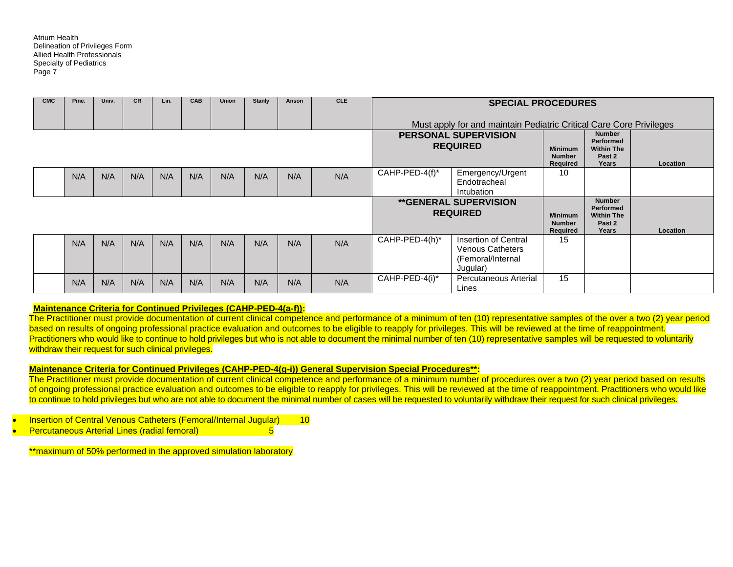| <b>CMC</b> | Pine. | Univ. | <b>CR</b> | Lin. | <b>CAB</b> | <b>Union</b> | Stanly | Anson | <b>CLE</b> |                | <b>SPECIAL PROCEDURES</b>                                                        |                                                    |                                                                    |          |
|------------|-------|-------|-----------|------|------------|--------------|--------|-------|------------|----------------|----------------------------------------------------------------------------------|----------------------------------------------------|--------------------------------------------------------------------|----------|
|            |       |       |           |      |            |              |        |       |            |                | Must apply for and maintain Pediatric Critical Care Core Privileges              |                                                    |                                                                    |          |
|            |       |       |           |      |            |              |        |       |            |                | <b>PERSONAL SUPERVISION</b><br><b>REQUIRED</b>                                   | <b>Minimum</b><br><b>Number</b><br><b>Required</b> | <b>Number</b><br>Performed<br><b>Within The</b><br>Past 2<br>Years | Location |
|            | N/A   | N/A   | N/A       | N/A  | N/A        | N/A          | N/A    | N/A   | N/A        | CAHP-PED-4(f)* | Emergency/Urgent<br>Endotracheal<br>Intubation                                   | 10                                                 |                                                                    |          |
|            |       |       |           |      |            |              |        |       |            |                | <b>**GENERAL SUPERVISION</b><br><b>REQUIRED</b>                                  | <b>Minimum</b><br><b>Number</b><br>Required        | <b>Number</b><br>Performed<br><b>Within The</b><br>Past 2<br>Years | Location |
|            | N/A   | N/A   | N/A       | N/A  | N/A        | N/A          | N/A    | N/A   | N/A        | CAHP-PED-4(h)* | Insertion of Central<br><b>Venous Catheters</b><br>(Femoral/Internal<br>Jugular) | 15                                                 |                                                                    |          |
|            | N/A   | N/A   | N/A       | N/A  | N/A        | N/A          | N/A    | N/A   | N/A        | CAHP-PED-4(i)* | Percutaneous Arterial<br>Lines                                                   | 15                                                 |                                                                    |          |

#### **Maintenance Criteria for Continued Privileges (CAHP-PED-4(a-f)):**

The Practitioner must provide documentation of current clinical competence and performance of a minimum of ten (10) representative samples of the over a two (2) year period based on results of ongoing professional practice evaluation and outcomes to be eligible to reapply for privileges. This will be reviewed at the time of reappointment. Practitioners who would like to continue to hold privileges but who is not able to document the minimal number of ten (10) representative samples will be requested to voluntarily withdraw their request for such clinical privileges.

#### **Maintenance Criteria for Continued Privileges (CAHP-PED-4(g-i)) General Supervision Special Procedures\*\*:**

The Practitioner must provide documentation of current clinical competence and performance of a minimum number of procedures over a two (2) year period based on results of ongoing professional practice evaluation and outcomes to be eligible to reapply for privileges. This will be reviewed at the time of reappointment. Practitioners who would like to continue to hold privileges but who are not able to document the minimal number of cases will be requested to voluntarily withdraw their request for such clinical privileges.

Insertion of Central Venous Catheters (Femoral/Internal Jugular) 10

• Percutaneous Arterial Lines (radial femoral) 5

\*\*maximum of 50% performed in the approved simulation laboratory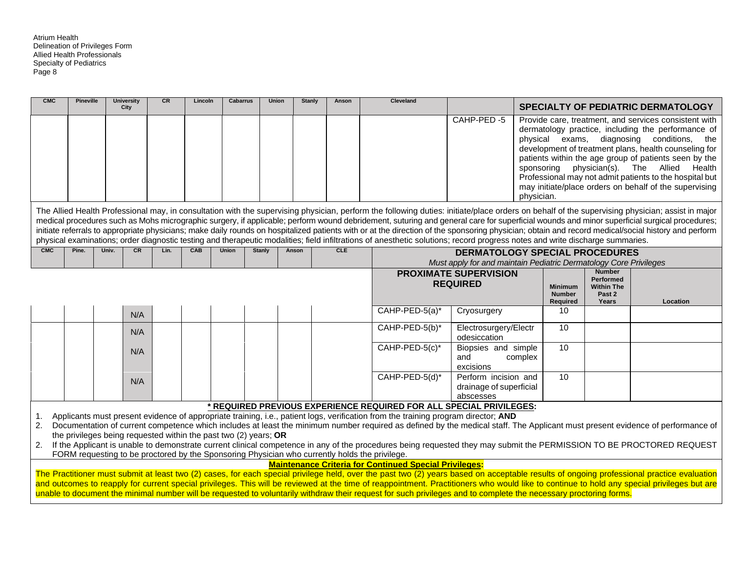| <b>CMC</b>     | <b>Pineville</b> | <b>University</b><br>City                                          | CR   | Lincoln    | <b>Cabarrus</b> | <b>Union</b>  |       | Stanly | Anson      | <b>Cleveland</b>                                                                                                                                                                                                                                                                                                                                                                                                                                                                                                                                                                                                                                                                                                                                                                       |                                                                                                            |            |                                             |                                                                           | <b>SPECIALTY OF PEDIATRIC DERMATOLOGY</b>                                                                                                                                                                                                                                                                                                                                                                |
|----------------|------------------|--------------------------------------------------------------------|------|------------|-----------------|---------------|-------|--------|------------|----------------------------------------------------------------------------------------------------------------------------------------------------------------------------------------------------------------------------------------------------------------------------------------------------------------------------------------------------------------------------------------------------------------------------------------------------------------------------------------------------------------------------------------------------------------------------------------------------------------------------------------------------------------------------------------------------------------------------------------------------------------------------------------|------------------------------------------------------------------------------------------------------------|------------|---------------------------------------------|---------------------------------------------------------------------------|----------------------------------------------------------------------------------------------------------------------------------------------------------------------------------------------------------------------------------------------------------------------------------------------------------------------------------------------------------------------------------------------------------|
|                |                  |                                                                    |      |            |                 |               |       |        |            |                                                                                                                                                                                                                                                                                                                                                                                                                                                                                                                                                                                                                                                                                                                                                                                        | CAHP-PED-5                                                                                                 | physician. | sponsoring                                  | physical exams, diagnosing                                                | Provide care, treatment, and services consistent with<br>dermatology practice, including the performance of<br>conditions, the<br>development of treatment plans, health counseling for<br>patients within the age group of patients seen by the<br>physician(s). The Allied Health<br>Professional may not admit patients to the hospital but<br>may initiate/place orders on behalf of the supervising |
|                |                  |                                                                    |      |            |                 |               |       |        |            | The Allied Health Professional may, in consultation with the supervising physician, perform the following duties: initiate/place orders on behalf of the supervising physician; assist in major<br>medical procedures such as Mohs micrographic surgery, if applicable; perform wound debridement, suturing and general care for superficial wounds and minor superficial surgical procedures;<br>initiate referrals to appropriate physicians; make daily rounds on hospitalized patients with or at the direction of the sponsoring physician; obtain and record medical/social history and perform<br>physical examinations; order diagnostic testing and therapeutic modalities; field infiltrations of anesthetic solutions; record progress notes and write discharge summaries. |                                                                                                            |            |                                             |                                                                           |                                                                                                                                                                                                                                                                                                                                                                                                          |
| <b>CMC</b>     | Pine.            | Univ.<br>CR                                                        | Lin. | <b>CAB</b> | <b>Union</b>    | <b>Stanly</b> | Anson |        | <b>CLE</b> |                                                                                                                                                                                                                                                                                                                                                                                                                                                                                                                                                                                                                                                                                                                                                                                        | <b>DERMATOLOGY SPECIAL PROCEDURES</b><br>Must apply for and maintain Pediatric Dermatology Core Privileges |            |                                             |                                                                           |                                                                                                                                                                                                                                                                                                                                                                                                          |
|                |                  |                                                                    |      |            |                 |               |       |        |            |                                                                                                                                                                                                                                                                                                                                                                                                                                                                                                                                                                                                                                                                                                                                                                                        | <b>PROXIMATE SUPERVISION</b><br><b>REQUIRED</b>                                                            |            | <b>Minimum</b><br><b>Number</b><br>Required | <b>Number</b><br><b>Performed</b><br><b>Within The</b><br>Past 2<br>Years | Location                                                                                                                                                                                                                                                                                                                                                                                                 |
|                |                  | N/A                                                                |      |            |                 |               |       |        |            | CAHP-PED-5(a)*                                                                                                                                                                                                                                                                                                                                                                                                                                                                                                                                                                                                                                                                                                                                                                         | Cryosurgery                                                                                                |            | 10                                          |                                                                           |                                                                                                                                                                                                                                                                                                                                                                                                          |
|                |                  | N/A                                                                |      |            |                 |               |       |        |            | CAHP-PED-5(b)*                                                                                                                                                                                                                                                                                                                                                                                                                                                                                                                                                                                                                                                                                                                                                                         | Electrosurgery/Electr<br>odesiccation                                                                      |            | 10                                          |                                                                           |                                                                                                                                                                                                                                                                                                                                                                                                          |
|                |                  | N/A                                                                |      |            |                 |               |       |        |            | CAHP-PED-5(c)*                                                                                                                                                                                                                                                                                                                                                                                                                                                                                                                                                                                                                                                                                                                                                                         | Biopsies and simple<br>and<br>excisions                                                                    | complex    | 10                                          |                                                                           |                                                                                                                                                                                                                                                                                                                                                                                                          |
|                |                  | N/A                                                                |      |            |                 |               |       |        |            | CAHP-PED-5(d)*                                                                                                                                                                                                                                                                                                                                                                                                                                                                                                                                                                                                                                                                                                                                                                         | Perform incision and<br>drainage of superficial<br>abscesses                                               |            | 10                                          |                                                                           |                                                                                                                                                                                                                                                                                                                                                                                                          |
|                |                  |                                                                    |      |            |                 |               |       |        |            | * REQUIRED PREVIOUS EXPERIENCE REQUIRED FOR ALL SPECIAL PRIVILEGES:                                                                                                                                                                                                                                                                                                                                                                                                                                                                                                                                                                                                                                                                                                                    |                                                                                                            |            |                                             |                                                                           |                                                                                                                                                                                                                                                                                                                                                                                                          |
| 1.<br>2.<br>2. |                  | the privileges being requested within the past two $(2)$ years; OR |      |            |                 |               |       |        |            | Applicants must present evidence of appropriate training, i.e., patient logs, verification from the training program director; AND                                                                                                                                                                                                                                                                                                                                                                                                                                                                                                                                                                                                                                                     |                                                                                                            |            |                                             |                                                                           | Documentation of current competence which includes at least the minimum number required as defined by the medical staff. The Applicant must present evidence of performance of<br>If the Applicant is unable to demonstrate current clinical competence in any of the procedures being requested they may submit the PERMISSION TO BE PROCTORED REQUEST                                                  |
|                |                  |                                                                    |      |            |                 |               |       |        |            | FORM requesting to be proctored by the Sponsoring Physician who currently holds the privilege.                                                                                                                                                                                                                                                                                                                                                                                                                                                                                                                                                                                                                                                                                         |                                                                                                            |            |                                             |                                                                           |                                                                                                                                                                                                                                                                                                                                                                                                          |
|                |                  |                                                                    |      |            |                 |               |       |        |            | <b>Maintenance Criteria for Continued Special Privileges:</b><br>The Practitioner must submit at least two (2) cases, for each special privilege held, over the past two (2) years based on acceptable results of ongoing professional practice evaluation<br>and outcomes to reapply for current special privileges. This will be reviewed at the time of reappointment. Practitioners who would like to continue to hold any special privileges but are<br>unable to document the minimal number will be requested to voluntarily withdraw their request for such privileges and to complete the necessary proctoring forms.                                                                                                                                                         |                                                                                                            |            |                                             |                                                                           |                                                                                                                                                                                                                                                                                                                                                                                                          |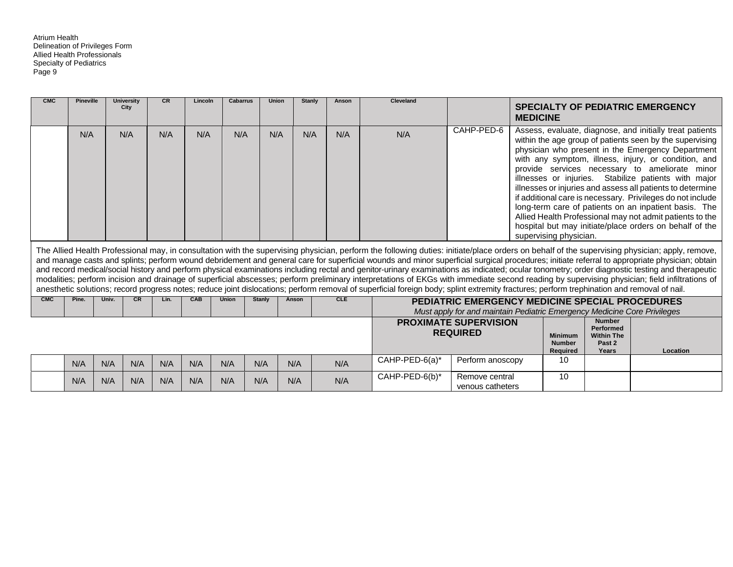| <b>CMC</b> | <b>Pineville</b> |       | <b>University</b><br>City | <b>CR</b> | Lincoln    | <b>Cabarrus</b> | Union  | <b>Stanly</b> | Anson      | <b>Cleveland</b>                                                                                                                                                                                                                                                                                                                                                                                                                                                                                                                                                                                                                                                                                                                                                                                                                                                                                                                                                                                  |                                                                          |                        |                                                    |                                                                    | <b>SPECIALTY OF PEDIATRIC EMERGENCY</b>                                                                                                                                                                                                                                                                                                                                                                                                                                                                                                                                                                                                                 |
|------------|------------------|-------|---------------------------|-----------|------------|-----------------|--------|---------------|------------|---------------------------------------------------------------------------------------------------------------------------------------------------------------------------------------------------------------------------------------------------------------------------------------------------------------------------------------------------------------------------------------------------------------------------------------------------------------------------------------------------------------------------------------------------------------------------------------------------------------------------------------------------------------------------------------------------------------------------------------------------------------------------------------------------------------------------------------------------------------------------------------------------------------------------------------------------------------------------------------------------|--------------------------------------------------------------------------|------------------------|----------------------------------------------------|--------------------------------------------------------------------|---------------------------------------------------------------------------------------------------------------------------------------------------------------------------------------------------------------------------------------------------------------------------------------------------------------------------------------------------------------------------------------------------------------------------------------------------------------------------------------------------------------------------------------------------------------------------------------------------------------------------------------------------------|
|            |                  |       |                           |           |            |                 |        |               |            |                                                                                                                                                                                                                                                                                                                                                                                                                                                                                                                                                                                                                                                                                                                                                                                                                                                                                                                                                                                                   |                                                                          | <b>MEDICINE</b>        |                                                    |                                                                    |                                                                                                                                                                                                                                                                                                                                                                                                                                                                                                                                                                                                                                                         |
|            | N/A              |       | N/A                       | N/A       | N/A        | N/A             | N/A    | N/A           | N/A        | N/A                                                                                                                                                                                                                                                                                                                                                                                                                                                                                                                                                                                                                                                                                                                                                                                                                                                                                                                                                                                               | CAHP-PED-6                                                               | supervising physician. |                                                    |                                                                    | Assess, evaluate, diagnose, and initially treat patients<br>within the age group of patients seen by the supervising<br>physician who present in the Emergency Department<br>with any symptom, illness, injury, or condition, and<br>provide services necessary to ameliorate minor<br>illnesses or injuries. Stabilize patients with major<br>illnesses or injuries and assess all patients to determine<br>if additional care is necessary. Privileges do not include<br>long-term care of patients on an inpatient basis. The<br>Allied Health Professional may not admit patients to the<br>hospital but may initiate/place orders on behalf of the |
|            |                  |       |                           |           |            |                 |        |               |            | The Allied Health Professional may, in consultation with the supervising physician, perform the following duties: initiate/place orders on behalf of the supervising physician; apply, remove,<br>and manage casts and splints; perform wound debridement and general care for superficial wounds and minor superficial surgical procedures; initiate referral to appropriate physician; obtain<br>and record medical/social history and perform physical examinations including rectal and genitor-urinary examinations as indicated; ocular tonometry; order diagnostic testing and therapeutic<br>modalities; perform incision and drainage of superficial abscesses; perform preliminary interpretations of EKGs with immediate second reading by supervising physician; field infiltrations of<br>anesthetic solutions; record progress notes; reduce joint dislocations; perform removal of superficial foreign body; splint extremity fractures; perform trephination and removal of nail. |                                                                          |                        |                                                    |                                                                    |                                                                                                                                                                                                                                                                                                                                                                                                                                                                                                                                                                                                                                                         |
| <b>CMC</b> | Pine.            | Univ. | <b>CR</b>                 | Lin.      | <b>CAB</b> | <b>Union</b>    | Stanly | Anson         | <b>CLE</b> |                                                                                                                                                                                                                                                                                                                                                                                                                                                                                                                                                                                                                                                                                                                                                                                                                                                                                                                                                                                                   | PEDIATRIC EMERGENCY MEDICINE SPECIAL PROCEDURES                          |                        |                                                    |                                                                    |                                                                                                                                                                                                                                                                                                                                                                                                                                                                                                                                                                                                                                                         |
|            |                  |       |                           |           |            |                 |        |               |            |                                                                                                                                                                                                                                                                                                                                                                                                                                                                                                                                                                                                                                                                                                                                                                                                                                                                                                                                                                                                   | Must apply for and maintain Pediatric Emergency Medicine Core Privileges |                        |                                                    |                                                                    |                                                                                                                                                                                                                                                                                                                                                                                                                                                                                                                                                                                                                                                         |
|            |                  |       |                           |           |            |                 |        |               |            |                                                                                                                                                                                                                                                                                                                                                                                                                                                                                                                                                                                                                                                                                                                                                                                                                                                                                                                                                                                                   | <b>PROXIMATE SUPERVISION</b><br><b>REQUIRED</b>                          |                        | <b>Minimum</b><br><b>Number</b><br><b>Required</b> | <b>Number</b><br>Performed<br><b>Within The</b><br>Past 2<br>Years | Location                                                                                                                                                                                                                                                                                                                                                                                                                                                                                                                                                                                                                                                |
|            | N/A              | N/A   | N/A                       | N/A       | N/A        | N/A             | N/A    | N/A           | N/A        | CAHP-PED-6(a)*                                                                                                                                                                                                                                                                                                                                                                                                                                                                                                                                                                                                                                                                                                                                                                                                                                                                                                                                                                                    | Perform anoscopy                                                         |                        | 10                                                 |                                                                    |                                                                                                                                                                                                                                                                                                                                                                                                                                                                                                                                                                                                                                                         |
|            | N/A              | N/A   | N/A                       | N/A       | N/A        | N/A             | N/A    | N/A           | N/A        | CAHP-PED-6(b)*                                                                                                                                                                                                                                                                                                                                                                                                                                                                                                                                                                                                                                                                                                                                                                                                                                                                                                                                                                                    | Remove central<br>venous catheters                                       |                        | 10                                                 |                                                                    |                                                                                                                                                                                                                                                                                                                                                                                                                                                                                                                                                                                                                                                         |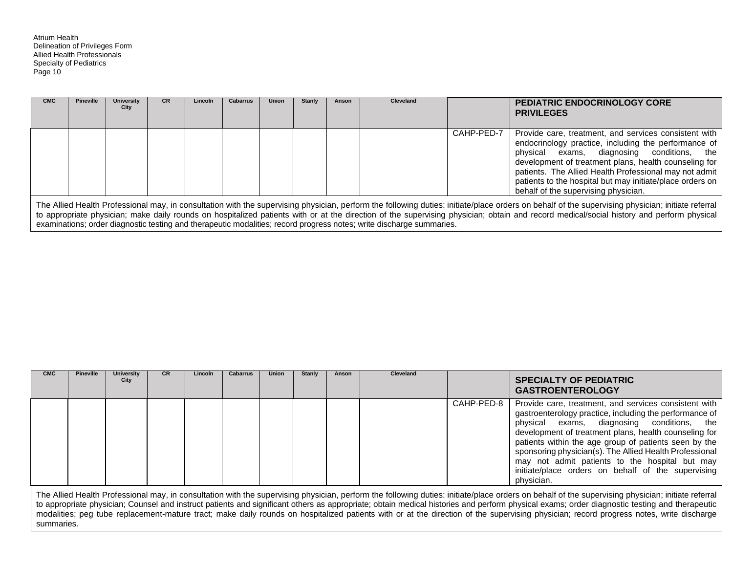| <b>CMC</b> | Pineville | University<br>City | <b>CR</b> | Lincoln | <b>Cabarrus</b> | <b>Union</b> | Stanly | Anson | Cleveland |            | <b>PEDIATRIC ENDOCRINOLOGY CORE</b><br><b>PRIVILEGES</b>                                                                                                                                                                                                                                                                                                                            |
|------------|-----------|--------------------|-----------|---------|-----------------|--------------|--------|-------|-----------|------------|-------------------------------------------------------------------------------------------------------------------------------------------------------------------------------------------------------------------------------------------------------------------------------------------------------------------------------------------------------------------------------------|
|            |           |                    |           |         |                 |              |        |       |           | CAHP-PED-7 | Provide care, treatment, and services consistent with<br>endocrinology practice, including the performance of<br>physical exams, diagnosing conditions, the<br>development of treatment plans, health counseling for<br>patients. The Allied Health Professional may not admit<br>patients to the hospital but may initiate/place orders on<br>behalf of the supervising physician. |

The Allied Health Professional may, in consultation with the supervising physician, perform the following duties: initiate/place orders on behalf of the supervising physician; initiate referral to appropriate physician; make daily rounds on hospitalized patients with or at the direction of the supervising physician; obtain and record medical/social history and perform physical examinations; order diagnostic testing and therapeutic modalities; record progress notes; write discharge summaries.

| <b>CMC</b> | <b>Pineville</b> | <b>University</b><br>City | <b>CR</b> | Lincoln | Cabarrus | Union | Stanly | Anson | Cleveland |            | <b>SPECIALTY OF PEDIATRIC</b><br><b>GASTROENTEROLOGY</b>                                                                                                                                                                                                                                                                                                                                                                                                          |
|------------|------------------|---------------------------|-----------|---------|----------|-------|--------|-------|-----------|------------|-------------------------------------------------------------------------------------------------------------------------------------------------------------------------------------------------------------------------------------------------------------------------------------------------------------------------------------------------------------------------------------------------------------------------------------------------------------------|
|            |                  |                           |           |         |          |       |        |       |           | CAHP-PED-8 | Provide care, treatment, and services consistent with<br>gastroenterology practice, including the performance of<br>physical exams, diagnosing conditions, the<br>development of treatment plans, health counseling for<br>patients within the age group of patients seen by the<br>sponsoring physician(s). The Allied Health Professional<br>may not admit patients to the hospital but may<br>initiate/place orders on behalf of the supervising<br>physician. |

The Allied Health Professional may, in consultation with the supervising physician, perform the following duties: initiate/place orders on behalf of the supervising physician; initiate referral to appropriate physician; Counsel and instruct patients and significant others as appropriate; obtain medical histories and perform physical exams; order diagnostic testing and therapeutic modalities; peg tube replacement-mature tract; make daily rounds on hospitalized patients with or at the direction of the supervising physician; record progress notes, write discharge summaries.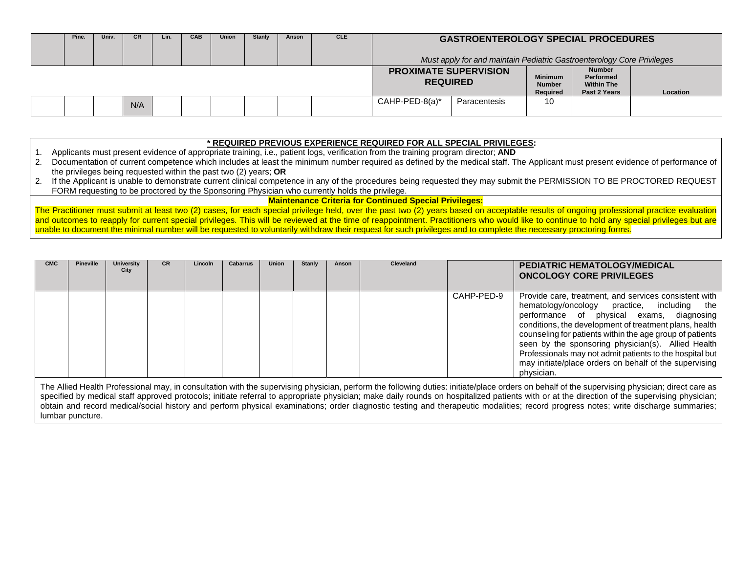| Pine. | Univ. | <b>CR</b> | Lin. | <b>CAB</b> | <b>Union</b> | Stanly | Anson | <b>CLE</b> |                                                 | <b>GASTROENTEROLOGY SPECIAL PROCEDURES</b>                             |                                             |                                                                 |          |
|-------|-------|-----------|------|------------|--------------|--------|-------|------------|-------------------------------------------------|------------------------------------------------------------------------|---------------------------------------------|-----------------------------------------------------------------|----------|
|       |       |           |      |            |              |        |       |            |                                                 | Must apply for and maintain Pediatric Gastroenterology Core Privileges |                                             |                                                                 |          |
|       |       |           |      |            |              |        |       |            | <b>PROXIMATE SUPERVISION</b><br><b>REQUIRED</b> |                                                                        | <b>Minimum</b><br><b>Number</b><br>Required | <b>Number</b><br>Performed<br><b>Within The</b><br>Past 2 Years | Location |
|       |       | N/A       |      |            |              |        |       |            | $CAHP-PED-8(a)^*$                               | Paracentesis                                                           | 10                                          |                                                                 |          |

#### **\* REQUIRED PREVIOUS EXPERIENCE REQUIRED FOR ALL SPECIAL PRIVILEGES:**

1. Applicants must present evidence of appropriate training, i.e., patient logs, verification from the training program director; **AND**

- 2. Documentation of current competence which includes at least the minimum number required as defined by the medical staff. The Applicant must present evidence of performance of the privileges being requested within the past two (2) years; **OR**
- 2. If the Applicant is unable to demonstrate current clinical competence in any of the procedures being requested they may submit the PERMISSION TO BE PROCTORED REQUEST FORM requesting to be proctored by the Sponsoring Physician who currently holds the privilege.

**Maintenance Criteria for Continued Special Privileges:**

The Practitioner must submit at least two (2) cases, for each special privilege held, over the past two (2) years based on acceptable results of ongoing professional practice evaluation and outcomes to reapply for current special privileges. This will be reviewed at the time of reappointment. Practitioners who would like to continue to hold any special privileges but are unable to document the minimal number will be requested to voluntarily withdraw their request for such privileges and to complete the necessary proctoring forms.

| <b>CMC</b> | <b>Pineville</b> | <b>University</b><br>City | <b>CR</b> | Lincoln | Cabarrus | <b>Union</b> | Stanly | Anson | Cleveland |            | <b>PEDIATRIC HEMATOLOGY/MEDICAL</b><br><b>ONCOLOGY CORE PRIVILEGES</b>                                                                                                                                                                                                                                                                                                                                                                                            |
|------------|------------------|---------------------------|-----------|---------|----------|--------------|--------|-------|-----------|------------|-------------------------------------------------------------------------------------------------------------------------------------------------------------------------------------------------------------------------------------------------------------------------------------------------------------------------------------------------------------------------------------------------------------------------------------------------------------------|
|            |                  |                           |           |         |          |              |        |       |           | CAHP-PED-9 | Provide care, treatment, and services consistent with<br>hematology/oncology practice, including the<br>performance of physical exams, diagnosing<br>conditions, the development of treatment plans, health<br>counseling for patients within the age group of patients<br>seen by the sponsoring physician(s). Allied Health<br>Professionals may not admit patients to the hospital but<br>may initiate/place orders on behalf of the supervising<br>physician. |

The Allied Health Professional may, in consultation with the supervising physician, perform the following duties: initiate/place orders on behalf of the supervising physician; direct care as specified by medical staff approved protocols; initiate referral to appropriate physician; make daily rounds on hospitalized patients with or at the direction of the supervising physician; obtain and record medical/social history and perform physical examinations; order diagnostic testing and therapeutic modalities; record progress notes; write discharge summaries; lumbar puncture.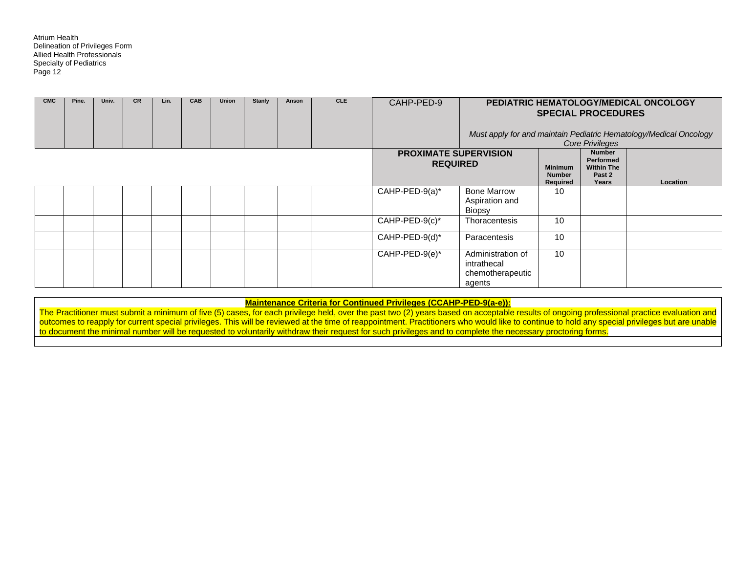| <b>CMC</b> | Pine. | Univ. | <b>CR</b> | Lin. | <b>CAB</b> | Union | <b>Stanly</b> | Anson | <b>CLE</b> | CAHP-PED-9                                      |                                                                |                                             | <b>SPECIAL PROCEDURES</b>                                                                    | PEDIATRIC HEMATOLOGY/MEDICAL ONCOLOGY<br>Must apply for and maintain Pediatric Hematology/Medical Oncology |
|------------|-------|-------|-----------|------|------------|-------|---------------|-------|------------|-------------------------------------------------|----------------------------------------------------------------|---------------------------------------------|----------------------------------------------------------------------------------------------|------------------------------------------------------------------------------------------------------------|
|            |       |       |           |      |            |       |               |       |            | <b>PROXIMATE SUPERVISION</b><br><b>REQUIRED</b> |                                                                | <b>Minimum</b><br><b>Number</b><br>Required | <b>Core Privileges</b><br><b>Number</b><br>Performed<br><b>Within The</b><br>Past 2<br>Years | Location                                                                                                   |
|            |       |       |           |      |            |       |               |       |            | CAHP-PED-9(a)*                                  | <b>Bone Marrow</b><br>Aspiration and<br>Biopsy                 | 10                                          |                                                                                              |                                                                                                            |
|            |       |       |           |      |            |       |               |       |            | $CAHP-PED-9(c)^*$                               | Thoracentesis                                                  | 10                                          |                                                                                              |                                                                                                            |
|            |       |       |           |      |            |       |               |       |            | $CAHP-PED-9(d)^*$                               | Paracentesis                                                   | 10                                          |                                                                                              |                                                                                                            |
|            |       |       |           |      |            |       |               |       |            | $CAHP-PED-9(e)^*$                               | Administration of<br>intrathecal<br>chemotherapeutic<br>agents | 10                                          |                                                                                              |                                                                                                            |

**Maintenance Criteria for Continued Privileges (CCAHP-PED-9(a-e)):**

The Practitioner must submit a minimum of five (5) cases, for each privilege held, over the past two (2) years based on acceptable results of ongoing professional practice evaluation and outcomes to reapply for current special privileges. This will be reviewed at the time of reappointment. Practitioners who would like to continue to hold any special privileges but are unable to document the minimal number will be requested to voluntarily withdraw their request for such privileges and to complete the necessary proctoring forms.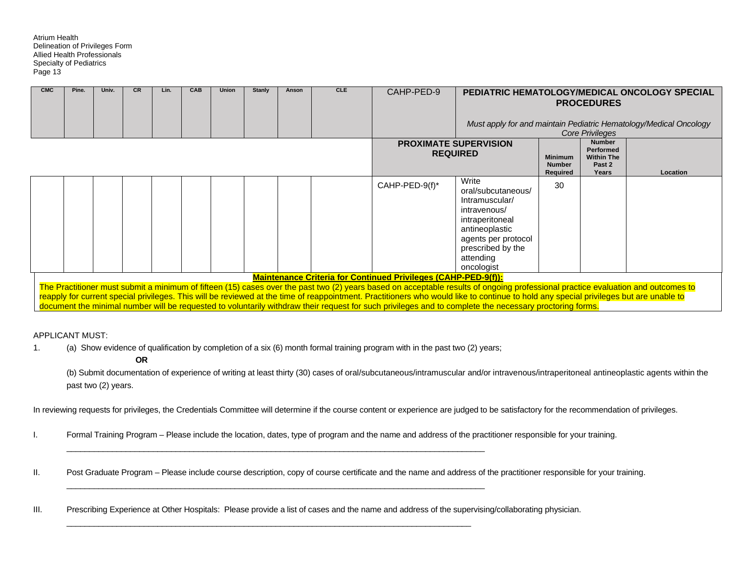| CMC | Pine. | Univ. | <b>CR</b> | Lin. | CAB | Union | Stanly | Anson | <b>CLE</b> | CAHP-PED-9                                                            |                                                                                                                                                                                                                                                                                                                                                                                                                                                                                                                                      |                                             | <b>PROCEDURES</b>                                                             | PEDIATRIC HEMATOLOGY/MEDICAL ONCOLOGY SPECIAL                     |
|-----|-------|-------|-----------|------|-----|-------|--------|-------|------------|-----------------------------------------------------------------------|--------------------------------------------------------------------------------------------------------------------------------------------------------------------------------------------------------------------------------------------------------------------------------------------------------------------------------------------------------------------------------------------------------------------------------------------------------------------------------------------------------------------------------------|---------------------------------------------|-------------------------------------------------------------------------------|-------------------------------------------------------------------|
|     |       |       |           |      |     |       |        |       |            |                                                                       |                                                                                                                                                                                                                                                                                                                                                                                                                                                                                                                                      |                                             | <b>Core Privileges</b>                                                        | Must apply for and maintain Pediatric Hematology/Medical Oncology |
|     |       |       |           |      |     |       |        |       |            |                                                                       | <b>PROXIMATE SUPERVISION</b><br><b>REQUIRED</b>                                                                                                                                                                                                                                                                                                                                                                                                                                                                                      | <b>Minimum</b><br><b>Number</b><br>Required | <b>Number</b><br>Performed<br><b>Within The</b><br>Past <sub>2</sub><br>Years | Location                                                          |
|     |       |       |           |      |     |       |        |       |            | CAHP-PED-9(f)*                                                        | Write<br>oral/subcutaneous/<br>Intramuscular/<br>intravenous/<br>intraperitoneal<br>antineoplastic<br>agents per protocol<br>prescribed by the<br>attending<br>oncologist                                                                                                                                                                                                                                                                                                                                                            | 30                                          |                                                                               |                                                                   |
|     |       |       |           |      |     |       |        |       |            | <b>Maintenance Criteria for Continued Privileges (CAHP-PED-9(f)):</b> |                                                                                                                                                                                                                                                                                                                                                                                                                                                                                                                                      |                                             |                                                                               |                                                                   |
|     |       |       |           |      |     |       |        |       |            |                                                                       | The Practitioner must submit a minimum of fifteen (15) cases over the past two (2) years based on acceptable results of ongoing professional practice evaluation and outcomes to<br>reapply for current special privileges. This will be reviewed at the time of reappointment. Practitioners who would like to continue to hold any special privileges but are unable to<br>document the minimal number will be requested to voluntarily withdraw their request for such privileges and to complete the necessary proctoring forms. |                                             |                                                                               |                                                                   |

APPLICANT MUST:

1. (a) Show evidence of qualification by completion of a six (6) month formal training program with in the past two (2) years;

 $\overline{\phantom{a}}$  , and the set of the set of the set of the set of the set of the set of the set of the set of the set of the set of the set of the set of the set of the set of the set of the set of the set of the set of the s

 $\overline{\phantom{a}}$  , and the set of the set of the set of the set of the set of the set of the set of the set of the set of the set of the set of the set of the set of the set of the set of the set of the set of the set of the s

 $\mathcal{L}_\mathcal{L} = \{ \mathcal{L}_\mathcal{L} = \{ \mathcal{L}_\mathcal{L} = \{ \mathcal{L}_\mathcal{L} = \{ \mathcal{L}_\mathcal{L} = \{ \mathcal{L}_\mathcal{L} = \{ \mathcal{L}_\mathcal{L} = \{ \mathcal{L}_\mathcal{L} = \{ \mathcal{L}_\mathcal{L} = \{ \mathcal{L}_\mathcal{L} = \{ \mathcal{L}_\mathcal{L} = \{ \mathcal{L}_\mathcal{L} = \{ \mathcal{L}_\mathcal{L} = \{ \mathcal{L}_\mathcal{L} = \{ \mathcal{L}_\mathcal{$ 

**OR** 

(b) Submit documentation of experience of writing at least thirty (30) cases of oral/subcutaneous/intramuscular and/or intravenous/intraperitoneal antineoplastic agents within the past two (2) years.

In reviewing requests for privileges, the Credentials Committee will determine if the course content or experience are judged to be satisfactory for the recommendation of privileges.

I. Formal Training Program – Please include the location, dates, type of program and the name and address of the practitioner responsible for your training.

II. Post Graduate Program – Please include course description, copy of course certificate and the name and address of the practitioner responsible for your training.

III. Prescribing Experience at Other Hospitals: Please provide a list of cases and the name and address of the supervising/collaborating physician.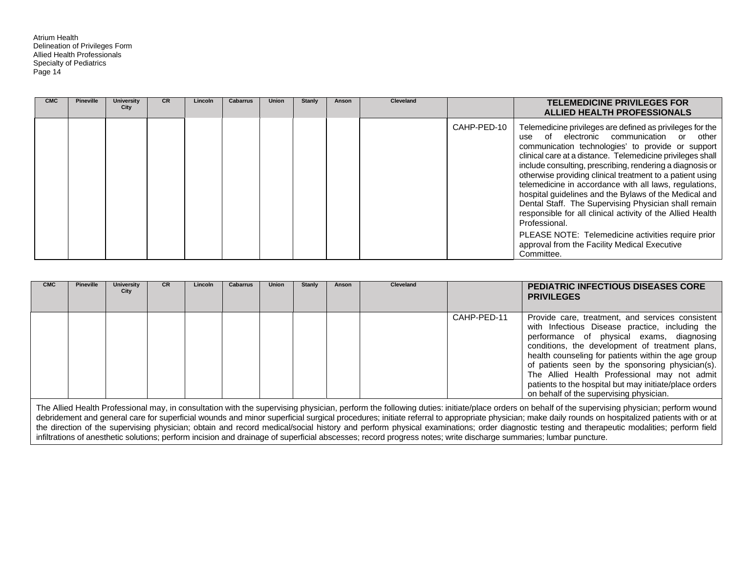| <b>CMC</b> | <b>Pineville</b> | <b>University</b><br>City | <b>CR</b> | Lincoln | <b>Cabarrus</b> | <b>Union</b> | <b>Stanly</b> | Anson | Cleveland |             | <b>TELEMEDICINE PRIVILEGES FOR</b><br>ALLIED HEALTH PROFESSIONALS                                                                                                                                                                                                                                                                                                                                                                                                                                                                                                                                                                                                                                                                |
|------------|------------------|---------------------------|-----------|---------|-----------------|--------------|---------------|-------|-----------|-------------|----------------------------------------------------------------------------------------------------------------------------------------------------------------------------------------------------------------------------------------------------------------------------------------------------------------------------------------------------------------------------------------------------------------------------------------------------------------------------------------------------------------------------------------------------------------------------------------------------------------------------------------------------------------------------------------------------------------------------------|
|            |                  |                           |           |         |                 |              |               |       |           | CAHP-PED-10 | Telemedicine privileges are defined as privileges for the<br>use of electronic communication or other<br>communication technologies' to provide or support<br>clinical care at a distance. Telemedicine privileges shall<br>include consulting, prescribing, rendering a diagnosis or<br>otherwise providing clinical treatment to a patient using<br>telemedicine in accordance with all laws, regulations,<br>hospital guidelines and the Bylaws of the Medical and<br>Dental Staff. The Supervising Physician shall remain<br>responsible for all clinical activity of the Allied Health<br>Professional.<br>PLEASE NOTE: Telemedicine activities require prior<br>approval from the Facility Medical Executive<br>Committee. |

| <b>CMC</b> | <b>Pineville</b> | <b>University</b><br>City | <b>CR</b> | Lincoln | <b>Cabarrus</b> | <b>Union</b> | Stanly | Anson | Cleveland |             | <b>PEDIATRIC INFECTIOUS DISEASES CORE</b><br><b>PRIVILEGES</b>                                                                                                                                                                                                                                                                                                                                                                                                      |
|------------|------------------|---------------------------|-----------|---------|-----------------|--------------|--------|-------|-----------|-------------|---------------------------------------------------------------------------------------------------------------------------------------------------------------------------------------------------------------------------------------------------------------------------------------------------------------------------------------------------------------------------------------------------------------------------------------------------------------------|
|            |                  |                           |           |         |                 |              |        |       |           | CAHP-PED-11 | Provide care, treatment, and services consistent<br>with Infectious Disease practice, including the<br>performance of physical exams, diagnosing<br>conditions, the development of treatment plans,<br>health counseling for patients within the age group<br>of patients seen by the sponsoring physician(s).<br>The Allied Health Professional may not admit<br>patients to the hospital but may initiate/place orders<br>on behalf of the supervising physician. |

The Allied Health Professional may, in consultation with the supervising physician, perform the following duties: initiate/place orders on behalf of the supervising physician; perform wound debridement and general care for superficial wounds and minor superficial surgical procedures; initiate referral to appropriate physician; make daily rounds on hospitalized patients with or at the direction of the supervising physician; obtain and record medical/social history and perform physical examinations; order diagnostic testing and therapeutic modalities; perform field infiltrations of anesthetic solutions; perform incision and drainage of superficial abscesses; record progress notes; write discharge summaries; lumbar puncture.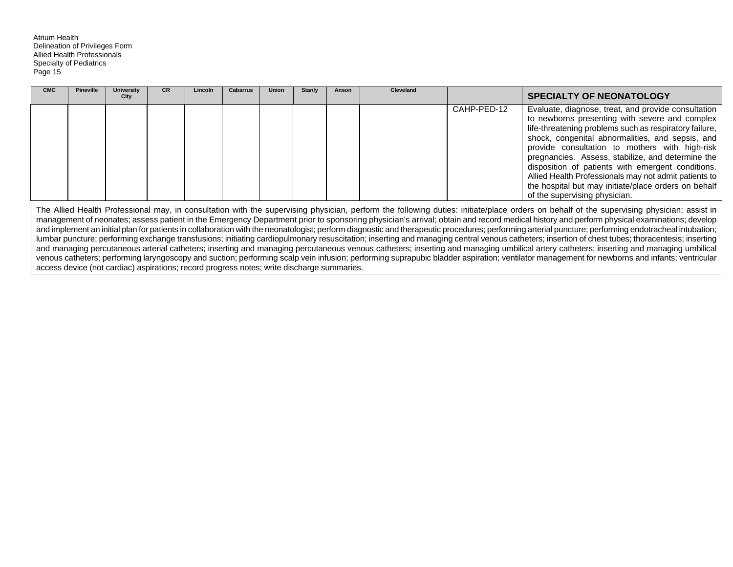| <b>CMC</b> | <b>Pineville</b> | <b>University</b><br>City | <b>CR</b> | Lincoln | <b>Cabarrus</b> | <b>Union</b> | <b>Stanly</b> | Anson | <b>Cleveland</b> |             | <b>SPECIALTY OF NEONATOLOGY</b>                                                                                                                                                                                                                                                                                                                                                                                                                                                                                                                                                                |
|------------|------------------|---------------------------|-----------|---------|-----------------|--------------|---------------|-------|------------------|-------------|------------------------------------------------------------------------------------------------------------------------------------------------------------------------------------------------------------------------------------------------------------------------------------------------------------------------------------------------------------------------------------------------------------------------------------------------------------------------------------------------------------------------------------------------------------------------------------------------|
|            |                  |                           |           |         |                 |              |               |       |                  | CAHP-PED-12 | Evaluate, diagnose, treat, and provide consultation<br>to newborns presenting with severe and complex<br>life-threatening problems such as respiratory failure,<br>shock, congenital abnormalities, and sepsis, and<br>provide consultation to mothers with high-risk<br>pregnancies. Assess, stabilize, and determine the<br>disposition of patients with emergent conditions.<br>Allied Health Professionals may not admit patients to<br>the hospital but may initiate/place orders on behalf<br>of the supervising physician.                                                              |
|            |                  |                           |           |         |                 |              |               |       |                  |             | The Allied Health Professional may, in consultation with the supervising physician, perform the following duties: initiate/place orders on behalf of the supervising physician; assist in<br>management of neonates; assess patient in the Emergency Department prior to sponsoring physician's arrival; obtain and record medical history and perform physicial examinations; develop<br>and implement an initial plan for patients in collaboration with the neonatologist; perform diagnostic and therapeutic procedures; performing arterial puncture; performing endotracheal intubation; |

lumbar puncture; performing exchange transfusions; initiating cardiopulmonary resuscitation; inserting and managing central venous catheters; insertion of chest tubes; thoracentesis; inserting and managing percutaneous arterial catheters; inserting and managing percutaneous venous catheters; inserting and managing umbilical artery catheters; inserting and managing umbilical venous catheters; performing laryngoscopy and suction; performing scalp vein infusion; performing suprapubic bladder aspiration; ventilator management for newborns and infants; ventricular access device (not cardiac) aspirations; record progress notes; write discharge summaries.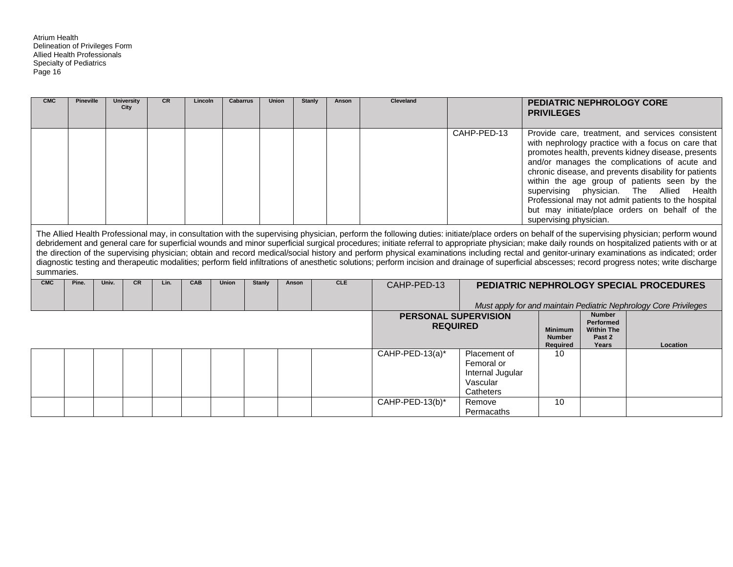| <b>CMC</b> | <b>Pineville</b> |       | <b>University</b><br>City | CR   | Lincoln    | <b>Cabarrus</b> | <b>Union</b>  |       | <b>Stanly</b><br>Anson | <b>Cleveland</b>            |                 |                                                                         | <b>PEDIATRIC NEPHROLOGY CORE</b><br><b>PRIVILEGES</b> |                                                                           |                                                                                                                                                                                                                                                                                                                                                                                                                                                                                                                                                                                                                                                                                                                                                                                                         |
|------------|------------------|-------|---------------------------|------|------------|-----------------|---------------|-------|------------------------|-----------------------------|-----------------|-------------------------------------------------------------------------|-------------------------------------------------------|---------------------------------------------------------------------------|---------------------------------------------------------------------------------------------------------------------------------------------------------------------------------------------------------------------------------------------------------------------------------------------------------------------------------------------------------------------------------------------------------------------------------------------------------------------------------------------------------------------------------------------------------------------------------------------------------------------------------------------------------------------------------------------------------------------------------------------------------------------------------------------------------|
|            |                  |       |                           |      |            |                 |               |       |                        |                             |                 | CAHP-PED-13                                                             | supervising physician.<br>supervising physician.      |                                                                           | Provide care, treatment, and services consistent<br>with nephrology practice with a focus on care that<br>promotes health, prevents kidney disease, presents<br>and/or manages the complications of acute and<br>chronic disease, and prevents disability for patients<br>within the age group of patients seen by the<br>The Allied<br>Health<br>Professional may not admit patients to the hospital<br>but may initiate/place orders on behalf of the                                                                                                                                                                                                                                                                                                                                                 |
| summaries. |                  |       |                           |      |            |                 |               |       |                        |                             |                 |                                                                         |                                                       |                                                                           | The Allied Health Professional may, in consultation with the supervising physician, perform the following duties: initiate/place orders on behalf of the supervising physician; perform wound<br>debridement and general care for superficial wounds and minor superficial surgical procedures; initiate referral to appropriate physician; make daily rounds on hospitalized patients with or at<br>the direction of the supervising physician; obtain and record medical/social history and perform physical examinations including rectal and genitor-urinary examinations as indicated; order<br>diagnostic testing and therapeutic modalities; perform field infiltrations of anesthetic solutions; perform incision and drainage of superficial abscesses; record progress notes; write discharge |
| <b>CMC</b> | Pine.            | Univ. | <b>CR</b>                 | Lin. | <b>CAB</b> | Union           | <b>Stanly</b> | Anson | <b>CLE</b>             | CAHP-PED-13                 |                 |                                                                         |                                                       |                                                                           | <b>PEDIATRIC NEPHROLOGY SPECIAL PROCEDURES</b><br>Must apply for and maintain Pediatric Nephrology Core Privileges                                                                                                                                                                                                                                                                                                                                                                                                                                                                                                                                                                                                                                                                                      |
|            |                  |       |                           |      |            |                 |               |       |                        | <b>PERSONAL SUPERVISION</b> | <b>REQUIRED</b> |                                                                         | <b>Minimum</b><br><b>Number</b><br>Required           | <b>Number</b><br><b>Performed</b><br><b>Within The</b><br>Past 2<br>Years | Location                                                                                                                                                                                                                                                                                                                                                                                                                                                                                                                                                                                                                                                                                                                                                                                                |
|            |                  |       |                           |      |            |                 |               |       |                        | CAHP-PED-13(a)*             |                 | Placement of<br>Femoral or<br>Internal Jugular<br>Vascular<br>Catheters | 10                                                    |                                                                           |                                                                                                                                                                                                                                                                                                                                                                                                                                                                                                                                                                                                                                                                                                                                                                                                         |
|            |                  |       |                           |      |            |                 |               |       |                        | CAHP-PED-13(b)*             |                 | Remove<br>Permacaths                                                    | 10                                                    |                                                                           |                                                                                                                                                                                                                                                                                                                                                                                                                                                                                                                                                                                                                                                                                                                                                                                                         |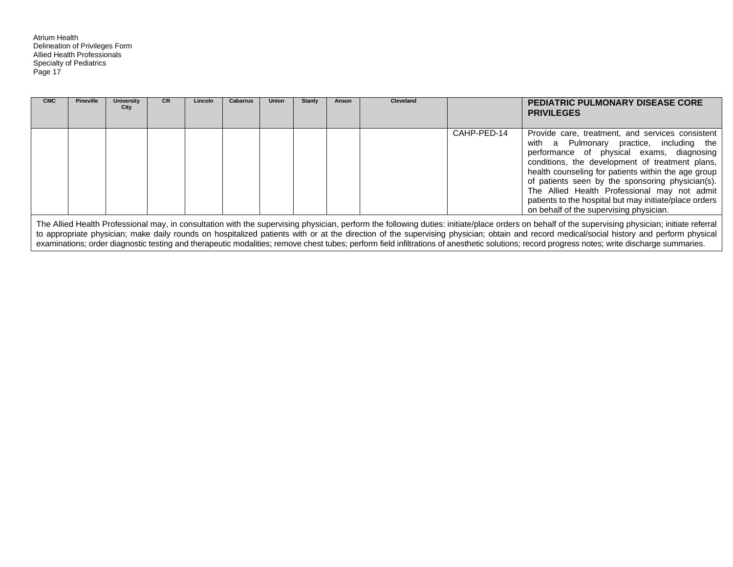| <b>CMC</b> | <b>Pineville</b> | <b>University</b><br>City | <b>CR</b> | Lincoln | <b>Cabarrus</b> | <b>Union</b> | <b>Stanly</b> | Anson | <b>Cleveland</b> |             | <b>PEDIATRIC PULMONARY DISEASE CORE</b><br><b>PRIVILEGES</b>                                                                                                                                                                                                                                                                                                                                                                                                 |
|------------|------------------|---------------------------|-----------|---------|-----------------|--------------|---------------|-------|------------------|-------------|--------------------------------------------------------------------------------------------------------------------------------------------------------------------------------------------------------------------------------------------------------------------------------------------------------------------------------------------------------------------------------------------------------------------------------------------------------------|
|            |                  |                           |           |         |                 |              |               |       |                  | CAHP-PED-14 | Provide care, treatment, and services consistent<br>with a Pulmonary practice, including the<br>performance of physical exams, diagnosing<br>conditions, the development of treatment plans,<br>health counseling for patients within the age group<br>of patients seen by the sponsoring physician(s).<br>The Allied Health Professional may not admit<br>patients to the hospital but may initiate/place orders<br>on behalf of the supervising physician. |
|            |                  |                           |           |         |                 |              |               |       |                  |             | The Allied Health Professional may, in consultation with the supervising physician, perform the following duties: initiate/place orders on behalf of the supervising physician; initiate referral                                                                                                                                                                                                                                                            |

to appropriate physician; make daily rounds on hospitalized patients with or at the direction of the supervising physician; obtain and record medical/social history and perform physical examinations; order diagnostic testing and therapeutic modalities; remove chest tubes; perform field infiltrations of anesthetic solutions; record progress notes; write discharge summaries.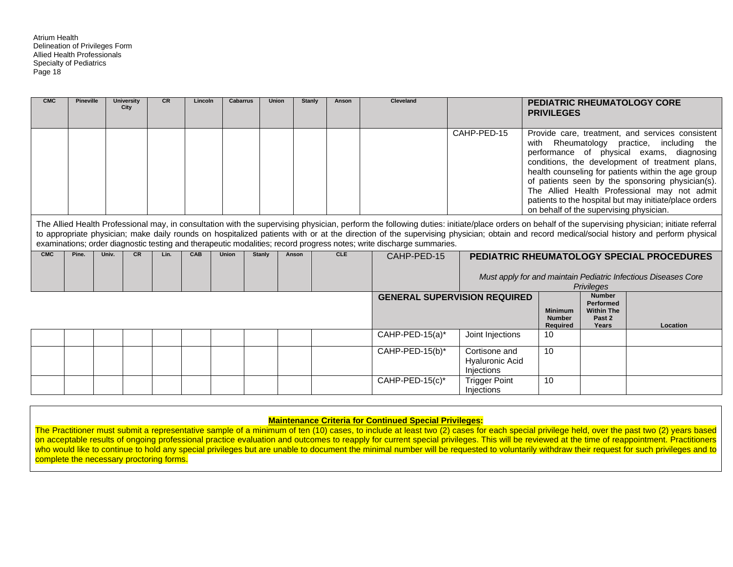| <b>CMC</b> | <b>Pineville</b> |       | <b>University</b><br>City | CR   | Lincoln | <b>Cabarrus</b> | <b>Union</b>  |       | Stanly | Anson      | Cleveland                                                                                                            |                                                       | <b>PRIVILEGES</b>                               |                                                                           | <b>PEDIATRIC RHEUMATOLOGY CORE</b>                                                                                                                                                                                                                                                                                                                                                                            |
|------------|------------------|-------|---------------------------|------|---------|-----------------|---------------|-------|--------|------------|----------------------------------------------------------------------------------------------------------------------|-------------------------------------------------------|-------------------------------------------------|---------------------------------------------------------------------------|---------------------------------------------------------------------------------------------------------------------------------------------------------------------------------------------------------------------------------------------------------------------------------------------------------------------------------------------------------------------------------------------------------------|
|            |                  |       |                           |      |         |                 |               |       |        |            |                                                                                                                      | CAHP-PED-15                                           | with<br>on behalf of the supervising physician. |                                                                           | Provide care, treatment, and services consistent<br>Rheumatology practice, including the<br>performance of physical exams, diagnosing<br>conditions, the development of treatment plans,<br>health counseling for patients within the age group<br>of patients seen by the sponsoring physician(s).<br>The Allied Health Professional may not admit<br>patients to the hospital but may initiate/place orders |
|            |                  |       |                           |      |         |                 |               |       |        |            | examinations; order diagnostic testing and therapeutic modalities; record progress notes; write discharge summaries. |                                                       |                                                 |                                                                           | The Allied Health Professional may, in consultation with the supervising physician, perform the following duties: initiate/place orders on behalf of the supervising physician; initiate referral<br>to appropriate physician; make daily rounds on hospitalized patients with or at the direction of the supervising physician; obtain and record medical/social history and perform physical                |
| <b>CMC</b> | Pine.            | Univ. | <b>CR</b>                 | Lin. | CAB     | <b>Union</b>    | <b>Stanly</b> | Anson |        | <b>CLE</b> | CAHP-PED-15                                                                                                          |                                                       |                                                 | <b>Privileges</b>                                                         | PEDIATRIC RHEUMATOLOGY SPECIAL PROCEDURES<br>Must apply for and maintain Pediatric Infectious Diseases Core                                                                                                                                                                                                                                                                                                   |
|            |                  |       |                           |      |         |                 |               |       |        |            |                                                                                                                      | <b>GENERAL SUPERVISION REQUIRED</b>                   | <b>Minimum</b><br><b>Number</b><br>Required     | <b>Number</b><br><b>Performed</b><br><b>Within The</b><br>Past 2<br>Years | Location                                                                                                                                                                                                                                                                                                                                                                                                      |
|            |                  |       |                           |      |         |                 |               |       |        |            | CAHP-PED-15(a)*                                                                                                      | Joint Injections                                      | 10                                              |                                                                           |                                                                                                                                                                                                                                                                                                                                                                                                               |
|            |                  |       |                           |      |         |                 |               |       |        |            | $\overline{CAHP-PED-15(b)^*}$                                                                                        | Cortisone and<br><b>Hyaluronic Acid</b><br>Injections | 10                                              |                                                                           |                                                                                                                                                                                                                                                                                                                                                                                                               |
|            |                  |       |                           |      |         |                 |               |       |        |            | $CAHP-PED-15(c)^*$                                                                                                   | <b>Trigger Point</b>                                  | 10                                              |                                                                           |                                                                                                                                                                                                                                                                                                                                                                                                               |

#### **Maintenance Criteria for Continued Special Privileges:**

Injections

The Practitioner must submit a representative sample of a minimum of ten (10) cases, to include at least two (2) cases for each special privilege held, over the past two (2) years based on acceptable results of ongoing professional practice evaluation and outcomes to reapply for current special privileges. This will be reviewed at the time of reappointment. Practitioners who would like to continue to hold any special privileges but are unable to document the minimal number will be requested to voluntarily withdraw their request for such privileges and to complete the necessary proctoring forms.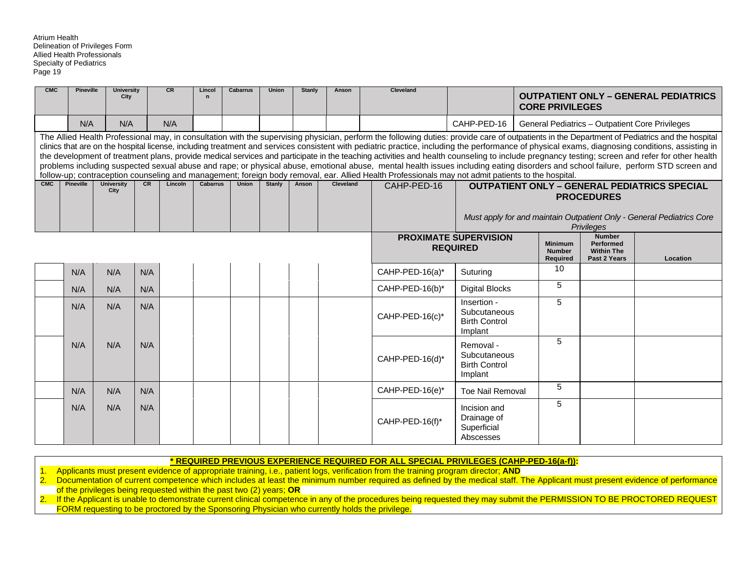| <b>CMC</b> | <b>Pineville</b> | <b>University</b><br>City |     | <b>CR</b> | Lincol<br>$\mathbf n$ | <b>Cabarrus</b> | <b>Union</b>  | <b>Stanly</b> | Anson     | <b>Cleveland</b>                                                                                                                                                                                                                                                                                                                                                                                                                                                                                                                                                                                                                                                                                                                                                                                                                                                                                                                               |                                                                | <b>CORE PRIVILEGES</b>                             |                                                                 | <b>OUTPATIENT ONLY - GENERAL PEDIATRICS</b>                                                                                  |
|------------|------------------|---------------------------|-----|-----------|-----------------------|-----------------|---------------|---------------|-----------|------------------------------------------------------------------------------------------------------------------------------------------------------------------------------------------------------------------------------------------------------------------------------------------------------------------------------------------------------------------------------------------------------------------------------------------------------------------------------------------------------------------------------------------------------------------------------------------------------------------------------------------------------------------------------------------------------------------------------------------------------------------------------------------------------------------------------------------------------------------------------------------------------------------------------------------------|----------------------------------------------------------------|----------------------------------------------------|-----------------------------------------------------------------|------------------------------------------------------------------------------------------------------------------------------|
|            | N/A              | N/A                       |     | N/A       |                       |                 |               |               |           |                                                                                                                                                                                                                                                                                                                                                                                                                                                                                                                                                                                                                                                                                                                                                                                                                                                                                                                                                | CAHP-PED-16                                                    | General Pediatrics - Outpatient Core Privileges    |                                                                 |                                                                                                                              |
|            |                  |                           |     |           |                       |                 |               |               |           | The Allied Health Professional may, in consultation with the supervising physician, perform the following duties: provide care of outpatients in the Department of Pediatrics and the hospital<br>clinics that are on the hospital license, including treatment and services consistent with pediatric practice, including the performance of physical exams, diagnosing conditions, assisting in<br>the development of treatment plans, provide medical services and participate in the teaching activities and health counseling to include pregnancy testing; screen and refer for other health<br>problems including suspected sexual abuse and rape; or physical abuse, emotional abuse, mental health issues including eating disorders and school failure, perform STD screen and<br>follow-up; contraception counseling and management; foreign body removal, ear. Allied Health Professionals may not admit patients to the hospital. |                                                                |                                                    |                                                                 |                                                                                                                              |
| CMC        | <b>Pineville</b> | <b>University</b><br>City | CR  | Lincoln   | <b>Cabarrus</b>       | <b>Union</b>    | <b>Stanly</b> | Anson         | Cleveland | CAHP-PED-16                                                                                                                                                                                                                                                                                                                                                                                                                                                                                                                                                                                                                                                                                                                                                                                                                                                                                                                                    |                                                                |                                                    | <b>PROCEDURES</b><br>Privileges                                 | <b>OUTPATIENT ONLY - GENERAL PEDIATRICS SPECIAL</b><br>Must apply for and maintain Outpatient Only - General Pediatrics Core |
|            |                  |                           |     |           |                       |                 |               |               |           |                                                                                                                                                                                                                                                                                                                                                                                                                                                                                                                                                                                                                                                                                                                                                                                                                                                                                                                                                | <b>PROXIMATE SUPERVISION</b><br><b>REQUIRED</b>                | <b>Minimum</b><br><b>Number</b><br><b>Required</b> | <b>Number</b><br>Performed<br><b>Within The</b><br>Past 2 Years | Location                                                                                                                     |
|            | N/A              | N/A                       | N/A |           |                       |                 |               |               |           | CAHP-PED-16(a)*                                                                                                                                                                                                                                                                                                                                                                                                                                                                                                                                                                                                                                                                                                                                                                                                                                                                                                                                | Suturing                                                       | 10                                                 |                                                                 |                                                                                                                              |
|            | N/A              | N/A                       | N/A |           |                       |                 |               |               |           | CAHP-PED-16(b)*                                                                                                                                                                                                                                                                                                                                                                                                                                                                                                                                                                                                                                                                                                                                                                                                                                                                                                                                | <b>Digital Blocks</b>                                          | 5                                                  |                                                                 |                                                                                                                              |
|            | N/A              | N/A                       | N/A |           |                       |                 |               |               |           | CAHP-PED-16(c)*                                                                                                                                                                                                                                                                                                                                                                                                                                                                                                                                                                                                                                                                                                                                                                                                                                                                                                                                | Insertion -<br>Subcutaneous<br><b>Birth Control</b><br>Implant | 5                                                  |                                                                 |                                                                                                                              |
|            | N/A              | N/A                       | N/A |           |                       |                 |               |               |           | CAHP-PED-16(d)*                                                                                                                                                                                                                                                                                                                                                                                                                                                                                                                                                                                                                                                                                                                                                                                                                                                                                                                                | Removal -<br>Subcutaneous<br><b>Birth Control</b><br>Implant   | 5                                                  |                                                                 |                                                                                                                              |
|            | N/A              | N/A                       | N/A |           |                       |                 |               |               |           | CAHP-PED-16(e)*                                                                                                                                                                                                                                                                                                                                                                                                                                                                                                                                                                                                                                                                                                                                                                                                                                                                                                                                | <b>Toe Nail Removal</b>                                        | 5                                                  |                                                                 |                                                                                                                              |
|            | N/A              | N/A                       | N/A |           |                       |                 |               |               |           | CAHP-PED-16(f)*                                                                                                                                                                                                                                                                                                                                                                                                                                                                                                                                                                                                                                                                                                                                                                                                                                                                                                                                | Incision and<br>Drainage of<br>Superficial<br>Abscesses        | 5                                                  |                                                                 |                                                                                                                              |

| * REQUIRED PREVIOUS EXPERIENCE REQUIRED FOR ALL SPECIAL PRIVILEGES (CAHP-PED-16(a-f)): |
|----------------------------------------------------------------------------------------|
|----------------------------------------------------------------------------------------|

1. Applicants must present evidence of appropriate training, i.e., patient logs, verification from the training program director; **AND**

2. Documentation of current competence which includes at least the minimum number required as defined by the medical staff. The Applicant must present evidence of performance of the privileges being requested within the past two (2) years; **OR**

2. If the Applicant is unable to demonstrate current clinical competence in any of the procedures being requested they may submit the PERMISSION TO BE PROCTORED REQUEST FORM requesting to be proctored by the Sponsoring Physician who currently holds the privilege.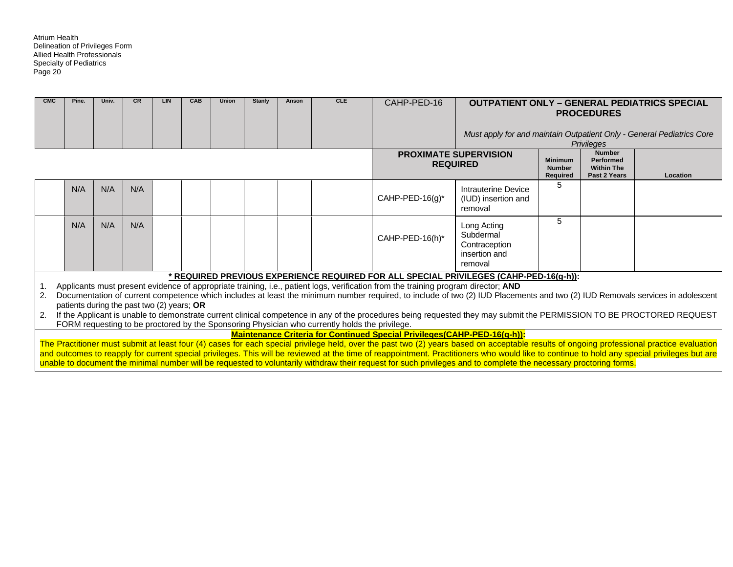| <b>CMC</b> | Pine. | Univ. | <b>CR</b> | LIN                                        | CAB | Union | Stanly | Anson | <b>CLE</b>                                                                                     | CAHP-PED-16                                                                                                                        |                                                                                                                                                                                                                                                                                                                                                                  |                                             | <b>PROCEDURES</b>                                                      | <b>OUTPATIENT ONLY - GENERAL PEDIATRICS SPECIAL</b>                   |
|------------|-------|-------|-----------|--------------------------------------------|-----|-------|--------|-------|------------------------------------------------------------------------------------------------|------------------------------------------------------------------------------------------------------------------------------------|------------------------------------------------------------------------------------------------------------------------------------------------------------------------------------------------------------------------------------------------------------------------------------------------------------------------------------------------------------------|---------------------------------------------|------------------------------------------------------------------------|-----------------------------------------------------------------------|
|            |       |       |           |                                            |     |       |        |       |                                                                                                |                                                                                                                                    |                                                                                                                                                                                                                                                                                                                                                                  |                                             |                                                                        | Must apply for and maintain Outpatient Only - General Pediatrics Core |
|            |       |       |           |                                            |     |       |        |       |                                                                                                |                                                                                                                                    |                                                                                                                                                                                                                                                                                                                                                                  |                                             | <b>Privileges</b>                                                      |                                                                       |
|            |       |       |           |                                            |     |       |        |       |                                                                                                |                                                                                                                                    | <b>PROXIMATE SUPERVISION</b><br><b>REQUIRED</b>                                                                                                                                                                                                                                                                                                                  | <b>Minimum</b><br><b>Number</b><br>Required | <b>Number</b><br><b>Performed</b><br><b>Within The</b><br>Past 2 Years | Location                                                              |
|            | N/A   | N/A   | N/A       |                                            |     |       |        |       |                                                                                                | CAHP-PED-16(g)*                                                                                                                    | Intrauterine Device<br>(IUD) insertion and<br>removal                                                                                                                                                                                                                                                                                                            | 5                                           |                                                                        |                                                                       |
|            | N/A   | N/A   | N/A       |                                            |     |       |        |       |                                                                                                | CAHP-PED-16(h)*                                                                                                                    | Long Acting<br>Subdermal<br>Contraception<br>insertion and<br>removal                                                                                                                                                                                                                                                                                            | 5                                           |                                                                        |                                                                       |
|            |       |       |           |                                            |     |       |        |       |                                                                                                |                                                                                                                                    | * REQUIRED PREVIOUS EXPERIENCE REQUIRED FOR ALL SPECIAL PRIVILEGES (CAHP-PED-16(g-h)):                                                                                                                                                                                                                                                                           |                                             |                                                                        |                                                                       |
| 1.<br>2.   |       |       |           |                                            |     |       |        |       |                                                                                                | Applicants must present evidence of appropriate training, i.e., patient logs, verification from the training program director; AND | Documentation of current competence which includes at least the minimum number required, to include of two (2) IUD Placements and two (2) IUD Removals services in adolescent                                                                                                                                                                                    |                                             |                                                                        |                                                                       |
|            |       |       |           | patients during the past two (2) years; OR |     |       |        |       |                                                                                                |                                                                                                                                    |                                                                                                                                                                                                                                                                                                                                                                  |                                             |                                                                        |                                                                       |
| 2.         |       |       |           |                                            |     |       |        |       | FORM requesting to be proctored by the Sponsoring Physician who currently holds the privilege. |                                                                                                                                    | If the Applicant is unable to demonstrate current clinical competence in any of the procedures being requested they may submit the PERMISSION TO BE PROCTORED REQUEST                                                                                                                                                                                            |                                             |                                                                        |                                                                       |
|            |       |       |           |                                            |     |       |        |       |                                                                                                | Maintenance Criteria for Continued Special Privileges(CAHP-PED-16(g-h)):                                                           |                                                                                                                                                                                                                                                                                                                                                                  |                                             |                                                                        |                                                                       |
|            |       |       |           |                                            |     |       |        |       |                                                                                                |                                                                                                                                    | The Practitioner must submit at least four (4) cases for each special privilege held, over the past two (2) years based on acceptable results of ongoing professional practice evaluation                                                                                                                                                                        |                                             |                                                                        |                                                                       |
|            |       |       |           |                                            |     |       |        |       |                                                                                                |                                                                                                                                    | and outcomes to reapply for current special privileges. This will be reviewed at the time of reappointment. Practitioners who would like to continue to hold any special privileges but are<br>unable to document the minimal number will be requested to voluntarily withdraw their request for such privileges and to complete the necessary proctoring forms. |                                             |                                                                        |                                                                       |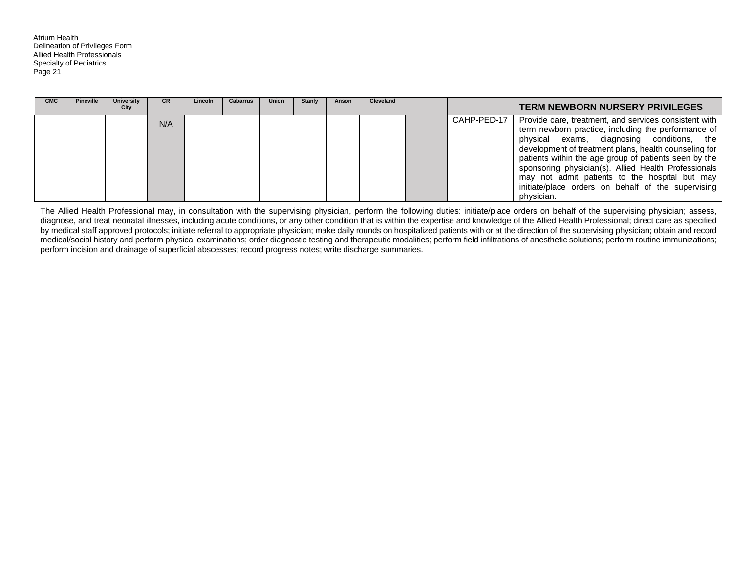| <b>CMC</b> | <b>Pineville</b> | University<br>City | <b>CR</b> | <b>Lincoln</b> | <b>Cabarrus</b> | <b>Union</b> | <b>Stanly</b> | Anson | <b>Cleveland</b>                                                                                          |             | <b>TERM NEWBORN NURSERY PRIVILEGES</b>                                                                                                                                                                                                                                                                                                                                                                                                                                                                                                                                                                                                                                                                                                                                                                     |
|------------|------------------|--------------------|-----------|----------------|-----------------|--------------|---------------|-------|-----------------------------------------------------------------------------------------------------------|-------------|------------------------------------------------------------------------------------------------------------------------------------------------------------------------------------------------------------------------------------------------------------------------------------------------------------------------------------------------------------------------------------------------------------------------------------------------------------------------------------------------------------------------------------------------------------------------------------------------------------------------------------------------------------------------------------------------------------------------------------------------------------------------------------------------------------|
|            |                  |                    | N/A       |                |                 |              |               |       |                                                                                                           | CAHP-PED-17 | Provide care, treatment, and services consistent with<br>term newborn practice, including the performance of<br>physical exams, diagnosing conditions, the<br>development of treatment plans, health counseling for<br>patients within the age group of patients seen by the<br>sponsoring physician(s). Allied Health Professionals<br>may not admit patients to the hospital but may<br>initiate/place orders on behalf of the supervising<br>physician.                                                                                                                                                                                                                                                                                                                                                 |
|            |                  |                    |           |                |                 |              |               |       | perform incision and drainage of superficial abscesses; record progress notes; write discharge summaries. |             | The Allied Health Professional may, in consultation with the supervising physician, perform the following duties: initiate/place orders on behalf of the supervising physician; assess,<br>diagnose, and treat neonatal illnesses, including acute conditions, or any other condition that is within the expertise and knowledge of the Allied Health Professional; direct care as specified<br>by medical staff approved protocols; initiate referral to appropriate physician; make daily rounds on hospitalized patients with or at the direction of the supervising physician; obtain and record<br>medical/social history and perform physical examinations; order diagnostic testing and therapeutic modalities; perform field infiltrations of anesthetic solutions; perform routine immunizations; |